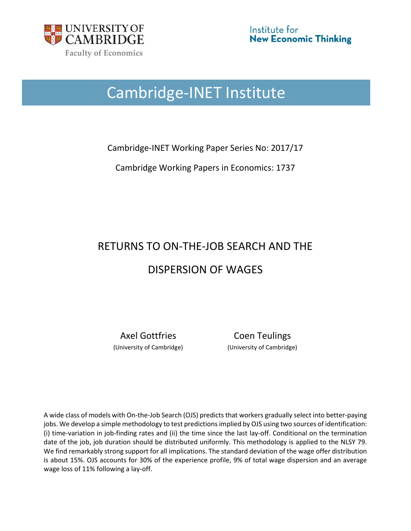

# Cambridge-INET Institute

Cambridge-INET Working Paper Series No: 2017/17

Cambridge Working Papers in Economics: 1737

# RETURNS TO ON-THE-JOB SEARCH AND THE DISPERSION OF WAGES

Axel Gottfries Coen Teulings (University of Cambridge) (University of Cambridge)

A wide class of models with On-the-Job Search (OJS) predicts that workers gradually select into better-paying jobs. We develop a simple methodology to test predictions implied by OJS using two sources of identification: (i) time-variation in job-finding rates and (ii) the time since the last lay-off. Conditional on the termination date of the job, job duration should be distributed uniformly. This methodology is applied to the NLSY 79. We find remarkably strong support for all implications. The standard deviation of the wage offer distribution is about 15%. OJS accounts for 30% of the experience profile, 9% of total wage dispersion and an average wage loss of 11% following a lay-off.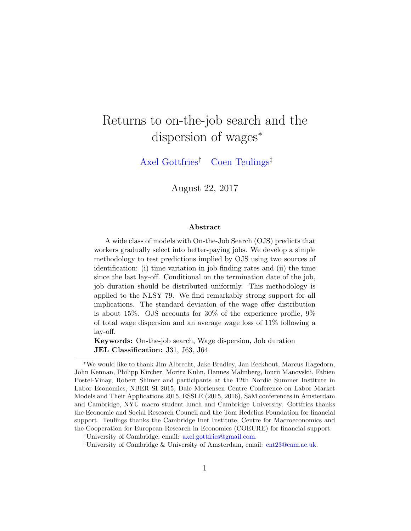## Returns to on-the-job search and the dispersion of wages<sup>∗</sup>

[Axel Gottfries](https://www.sites.google.com/site/axelgottfries/)† [Coen Teulings](http://www.coenteulings.com/)‡

August 22, 2017

#### Abstract

A wide class of models with On-the-Job Search (OJS) predicts that workers gradually select into better-paying jobs. We develop a simple methodology to test predictions implied by OJS using two sources of identification: (i) time-variation in job-finding rates and (ii) the time since the last lay-off. Conditional on the termination date of the job, job duration should be distributed uniformly. This methodology is applied to the NLSY 79. We find remarkably strong support for all implications. The standard deviation of the wage offer distribution is about 15%. OJS accounts for 30% of the experience profile, 9% of total wage dispersion and an average wage loss of 11% following a lay-off.

Keywords: On-the-job search, Wage dispersion, Job duration JEL Classification: J31, J63, J64

<sup>∗</sup>We would like to thank Jim Albrecht, Jake Bradley, Jan Eeckhout, Marcus Hagedorn, John Kennan, Philipp Kircher, Moritz Kuhn, Hannes Malmberg, Iourii Manovskii, Fabien Postel-Vinay, Robert Shimer and participants at the 12th Nordic Summer Institute in Labor Economics, NBER SI 2015, Dale Mortensen Centre Conference on Labor Market Models and Their Applications 2015, ESSLE (2015, 2016), SaM conferences in Amsterdam and Cambridge, NYU macro student lunch and Cambridge University. Gottfries thanks the Economic and Social Research Council and the Tom Hedelius Foundation for financial support. Teulings thanks the Cambridge Inet Institute, Centre for Macroeconomics and the Cooperation for European Research in Economics (COEURE) for financial support.

<sup>†</sup>University of Cambridge, email: [axel.gottfries@gmail.com.](mailto:axel.gottfries@gmail.com)

<sup>‡</sup>University of Cambridge & University of Amsterdam, email: [cnt23@cam.ac.uk.](mailto:cnt23@cam.ac.uk)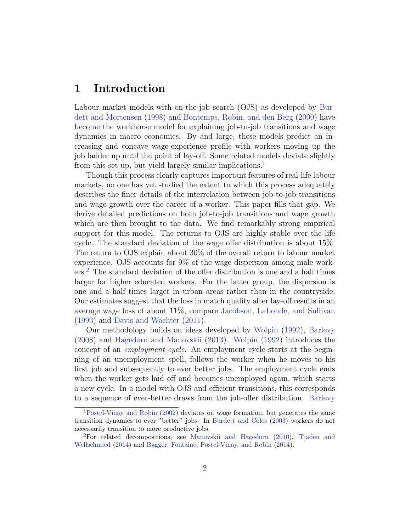## 1 Introduction

Labour market models with on-the-job search (OJS) as developed by [Bur](#page-36-0)[dett and Mortensen](#page-36-0) [\(1998\)](#page-36-0) and [Bontemps, Robin, and den Berg](#page-36-1) [\(2000\)](#page-36-1) have become the workhorse model for explaining job-to-job transitions and wage dynamics in macro economics. By and large, these models predict an increasing and concave wage-experience profile with workers moving up the job ladder up until the point of lay-off. Some related models deviate slightly from this set up, but yield largely similar implications.<sup>[1](#page-2-0)</sup>

Though this process clearly captures important features of real-life labour markets, no one has yet studied the extent to which this process adequately describes the finer details of the interrelation between job-to-job transitions and wage growth over the career of a worker. This paper fills that gap. We derive detailed predictions on both job-to-job transitions and wage growth which are then brought to the data. We find remarkably strong empirical support for this model. The returns to OJS are highly stable over the life cycle. The standard deviation of the wage offer distribution is about 15%. The return to OJS explain about 30% of the overall return to labour market experience. OJS accounts for 9% of the wage dispersion among male workers.[2](#page-2-1) The standard deviation of the offer distribution is one and a half times larger for higher educated workers. For the latter group, the dispersion is one and a half times larger in urban areas rather than in the countryside. Our estimates suggest that the loss in match quality after lay-off results in an average wage loss of about 11%, compare [Jacobson, LaLonde, and Sullivan](#page-37-0) [\(1993\)](#page-37-0) and [Davis and Wachter](#page-36-2) [\(2011\)](#page-36-2).

Our methodology builds on ideas developed by [Wolpin](#page-38-0) [\(1992\)](#page-38-0), [Barlevy](#page-36-3) [\(2008\)](#page-36-3) and [Hagedorn and Manovskii](#page-37-1) [\(2013\)](#page-37-1). [Wolpin](#page-38-0) [\(1992\)](#page-38-0) introduces the concept of an employment cycle. An employment cycle starts at the beginning of an unemployment spell, follows the worker when he moves to his first job and subsequently to ever better jobs. The employment cycle ends when the worker gets laid off and becomes unemployed again, which starts a new cycle. In a model with OJS and efficient transitions, this corresponds to a sequence of ever-better draws from the job-offer distribution. [Barlevy](#page-36-3)

<span id="page-2-0"></span><sup>1</sup>[Postel-Vinay and Robin](#page-38-1) [\(2002\)](#page-38-1) deviates on wage formation, but generates the same transition dynamics to ever "better" jobs. In [Burdett and Coles](#page-36-4) [\(2003\)](#page-36-4) workers do not necessarily transition to more productive jobs.

<span id="page-2-1"></span><sup>2</sup>For related decompositions, see [Manovskii and Hagedorn](#page-37-2) [\(2010\)](#page-37-2), [Tjaden and](#page-38-2) [Wellschmied](#page-38-2) [\(2014\)](#page-38-2) and [Bagger, Fontaine, Postel-Vinay, and Robin](#page-36-5) [\(2014\)](#page-36-5).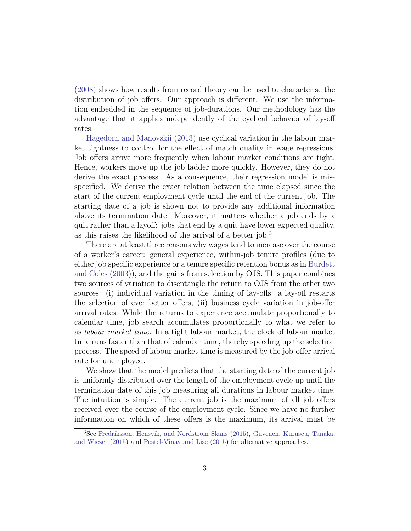[\(2008\)](#page-36-3) shows how results from record theory can be used to characterise the distribution of job offers. Our approach is different. We use the information embedded in the sequence of job-durations. Our methodology has the advantage that it applies independently of the cyclical behavior of lay-off rates.

[Hagedorn and Manovskii](#page-37-1) [\(2013\)](#page-37-1) use cyclical variation in the labour market tightness to control for the effect of match quality in wage regressions. Job offers arrive more frequently when labour market conditions are tight. Hence, workers move up the job ladder more quickly. However, they do not derive the exact process. As a consequence, their regression model is misspecified. We derive the exact relation between the time elapsed since the start of the current employment cycle until the end of the current job. The starting date of a job is shown not to provide any additional information above its termination date. Moreover, it matters whether a job ends by a quit rather than a layoff: jobs that end by a quit have lower expected quality, as this raises the likelihood of the arrival of a better job.[3](#page-3-0)

There are at least three reasons why wages tend to increase over the course of a worker's career: general experience, within-job tenure profiles (due to either job specific experience or a tenure specific retention bonus as in [Burdett](#page-36-4) [and Coles](#page-36-4) [\(2003\)](#page-36-4)), and the gains from selection by OJS. This paper combines two sources of variation to disentangle the return to OJS from the other two sources: (i) individual variation in the timing of lay-offs: a lay-off restarts the selection of ever better offers; (ii) business cycle variation in job-offer arrival rates. While the returns to experience accumulate proportionally to calendar time, job search accumulates proportionally to what we refer to as labour market time. In a tight labour market, the clock of labour market time runs faster than that of calendar time, thereby speeding up the selection process. The speed of labour market time is measured by the job-offer arrival rate for unemployed.

We show that the model predicts that the starting date of the current job is uniformly distributed over the length of the employment cycle up until the termination date of this job measuring all durations in labour market time. The intuition is simple. The current job is the maximum of all job offers received over the course of the employment cycle. Since we have no further information on which of these offers is the maximum, its arrival must be

<span id="page-3-0"></span><sup>3</sup>See [Fredriksson, Hensvik, and Nordstrom Skans](#page-37-3) [\(2015\)](#page-37-3), [Guvenen, Kuruscu, Tanaka,](#page-37-4) [and Wiczer](#page-37-4) [\(2015\)](#page-37-4) and [Postel-Vinay and Lise](#page-38-3) [\(2015\)](#page-38-3) for alternative approaches.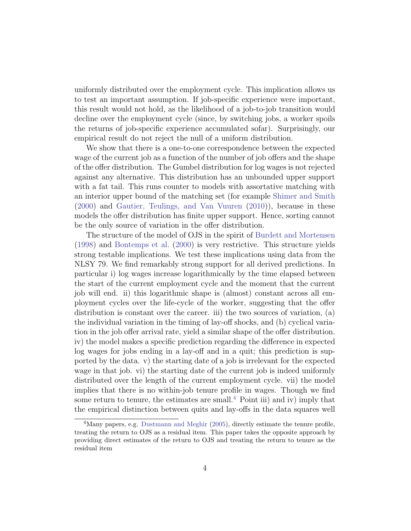uniformly distributed over the employment cycle. This implication allows us to test an important assumption. If job-specific experience were important, this result would not hold, as the likelihood of a job-to-job transition would decline over the employment cycle (since, by switching jobs, a worker spoils the returns of job-specific experience accumulated sofar). Surprisingly, our empirical result do not reject the null of a uniform distribution.

We show that there is a one-to-one correspondence between the expected wage of the current job as a function of the number of job offers and the shape of the offer distribution. The Gumbel distribution for log wages is not rejected against any alternative. This distribution has an unbounded upper support with a fat tail. This runs counter to models with assortative matching with an interior upper bound of the matching set (for example [Shimer and Smith](#page-38-4) [\(2000\)](#page-38-4) and [Gautier, Teulings, and Van Vuuren](#page-37-5) [\(2010\)](#page-37-5)), because in these models the offer distribution has finite upper support. Hence, sorting cannot be the only source of variation in the offer distribution.

The structure of the model of OJS in the spirit of [Burdett and Mortensen](#page-36-0) [\(1998\)](#page-36-0) and [Bontemps et al.](#page-36-1) [\(2000\)](#page-36-1) is very restrictive. This structure yields strong testable implications. We test these implications using data from the NLSY 79. We find remarkably strong support for all derived predictions. In particular i) log wages increase logarithmically by the time elapsed between the start of the current employment cycle and the moment that the current job will end. ii) this logarithmic shape is (almost) constant across all employment cycles over the life-cycle of the worker, suggesting that the offer distribution is constant over the career. iii) the two sources of variation, (a) the individual variation in the timing of lay-off shocks, and (b) cyclical variation in the job offer arrival rate, yield a similar shape of the offer distribution. iv) the model makes a specific prediction regarding the difference in expected log wages for jobs ending in a lay-off and in a quit; this prediction is supported by the data. v) the starting date of a job is irrelevant for the expected wage in that job. vi) the starting date of the current job is indeed uniformly distributed over the length of the current employment cycle. vii) the model implies that there is no within-job tenure profile in wages. Though we find some return to tenure, the estimates are small.<sup>[4](#page-4-0)</sup> Point iii) and iv) imply that the empirical distinction between quits and lay-offs in the data squares well

<span id="page-4-0"></span><sup>&</sup>lt;sup>4</sup>Many papers, e.g. [Dustmann and Meghir](#page-36-6) [\(2005\)](#page-36-6), directly estimate the tenure profile, treating the return to OJS as a residual item. This paper takes the opposite approach by providing direct estimates of the return to OJS and treating the return to tenure as the residual item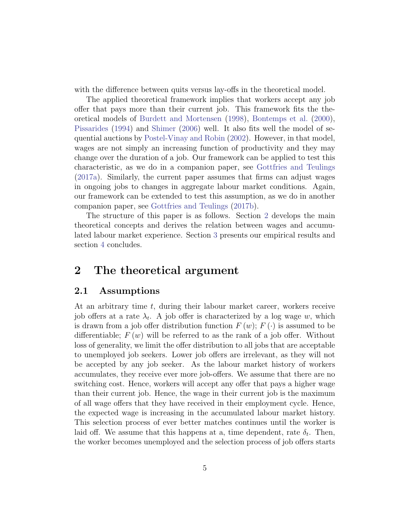with the difference between quits versus lay-offs in the theoretical model.

The applied theoretical framework implies that workers accept any job offer that pays more than their current job. This framework fits the theoretical models of [Burdett and Mortensen](#page-36-0) [\(1998\)](#page-36-0), [Bontemps et al.](#page-36-1) [\(2000\)](#page-36-1), [Pissarides](#page-37-6) [\(1994\)](#page-37-6) and [Shimer](#page-38-5) [\(2006\)](#page-38-5) well. It also fits well the model of sequential auctions by [Postel-Vinay and Robin](#page-38-1) [\(2002\)](#page-38-1). However, in that model, wages are not simply an increasing function of productivity and they may change over the duration of a job. Our framework can be applied to test this characteristic, as we do in a companion paper, see [Gottfries and Teulings](#page-37-7) [\(2017a\)](#page-37-7). Similarly, the current paper assumes that firms can adjust wages in ongoing jobs to changes in aggregate labour market conditions. Again, our framework can be extended to test this assumption, as we do in another companion paper, see [Gottfries and Teulings](#page-37-8) [\(2017b\)](#page-37-8).

The structure of this paper is as follows. Section [2](#page-5-0) develops the main theoretical concepts and derives the relation between wages and accumulated labour market experience. Section [3](#page-15-0) presents our empirical results and section [4](#page-34-0) concludes.

## <span id="page-5-0"></span>2 The theoretical argument

#### <span id="page-5-1"></span>2.1 Assumptions

At an arbitrary time  $t$ , during their labour market career, workers receive job offers at a rate  $\lambda_t$ . A job offer is characterized by a log wage w, which is drawn from a job offer distribution function  $F(w)$ ;  $F(\cdot)$  is assumed to be differentiable;  $F(w)$  will be referred to as the rank of a job offer. Without loss of generality, we limit the offer distribution to all jobs that are acceptable to unemployed job seekers. Lower job offers are irrelevant, as they will not be accepted by any job seeker. As the labour market history of workers accumulates, they receive ever more job-offers. We assume that there are no switching cost. Hence, workers will accept any offer that pays a higher wage than their current job. Hence, the wage in their current job is the maximum of all wage offers that they have received in their employment cycle. Hence, the expected wage is increasing in the accumulated labour market history. This selection process of ever better matches continues until the worker is laid off. We assume that this happens at a, time dependent, rate  $\delta_t$ . Then, the worker becomes unemployed and the selection process of job offers starts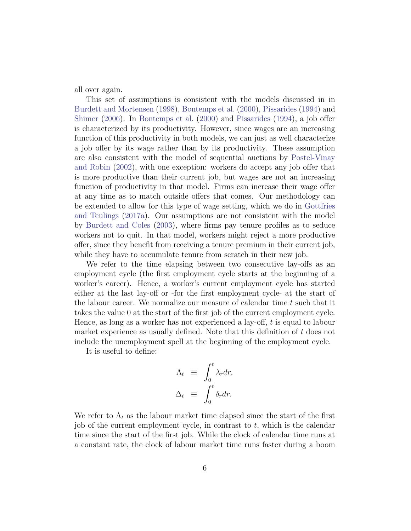all over again.

This set of assumptions is consistent with the models discussed in in [Burdett and Mortensen](#page-36-0) [\(1998\)](#page-36-0), [Bontemps et al.](#page-36-1) [\(2000\)](#page-36-1), [Pissarides](#page-37-6) [\(1994\)](#page-37-6) and [Shimer](#page-38-5) [\(2006\)](#page-38-5). In [Bontemps et al.](#page-36-1) [\(2000\)](#page-36-1) and [Pissarides](#page-37-6) [\(1994\)](#page-37-6), a job offer is characterized by its productivity. However, since wages are an increasing function of this productivity in both models, we can just as well characterize a job offer by its wage rather than by its productivity. These assumption are also consistent with the model of sequential auctions by [Postel-Vinay](#page-38-1) [and Robin](#page-38-1) [\(2002\)](#page-38-1), with one exception: workers do accept any job offer that is more productive than their current job, but wages are not an increasing function of productivity in that model. Firms can increase their wage offer at any time as to match outside offers that comes. Our methodology can be extended to allow for this type of wage setting, which we do in [Gottfries](#page-37-7) [and Teulings](#page-37-7) [\(2017a\)](#page-37-7). Our assumptions are not consistent with the model by [Burdett and Coles](#page-36-4) [\(2003\)](#page-36-4), where firms pay tenure profiles as to seduce workers not to quit. In that model, workers might reject a more productive offer, since they benefit from receiving a tenure premium in their current job, while they have to accumulate tenure from scratch in their new job.

We refer to the time elapsing between two consecutive lay-offs as an employment cycle (the first employment cycle starts at the beginning of a worker's career). Hence, a worker's current employment cycle has started either at the last lay-off or -for the first employment cycle- at the start of the labour career. We normalize our measure of calendar time  $t$  such that it takes the value 0 at the start of the first job of the current employment cycle. Hence, as long as a worker has not experienced a lay-off, t is equal to labour market experience as usually defined. Note that this definition of  $t$  does not include the unemployment spell at the beginning of the employment cycle.

It is useful to define:

$$
\Lambda_t \equiv \int_0^t \lambda_r dr,
$$
  

$$
\Delta_t \equiv \int_0^t \delta_r dr.
$$

We refer to  $\Lambda_t$  as the labour market time elapsed since the start of the first job of the current employment cycle, in contrast to  $t$ , which is the calendar time since the start of the first job. While the clock of calendar time runs at a constant rate, the clock of labour market time runs faster during a boom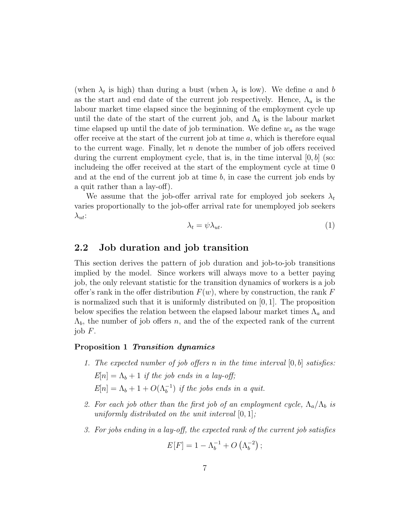(when  $\lambda_t$  is high) than during a bust (when  $\lambda_t$  is low). We define a and b as the start and end date of the current job respectively. Hence,  $\Lambda_a$  is the labour market time elapsed since the beginning of the employment cycle up until the date of the start of the current job, and  $\Lambda_b$  is the labour market time elapsed up until the date of job termination. We define  $w_a$  as the wage offer receive at the start of the current job at time  $a$ , which is therefore equal to the current wage. Finally, let  $n$  denote the number of job offers received during the current employment cycle, that is, in the time interval  $[0, b]$  (so: includeing the offer received at the start of the employment cycle at time 0 and at the end of the current job at time  $b$ , in case the current job ends by a quit rather than a lay-off).

We assume that the job-offer arrival rate for employed job seekers  $\lambda_t$ varies proportionally to the job-offer arrival rate for unemployed job seekers  $\lambda_{ut}$ :

$$
\lambda_t = \psi \lambda_{ut}.\tag{1}
$$

## 2.2 Job duration and job transition

This section derives the pattern of job duration and job-to-job transitions implied by the model. Since workers will always move to a better paying job, the only relevant statistic for the transition dynamics of workers is a job offer's rank in the offer distribution  $F(w)$ , where by construction, the rank F is normalized such that it is uniformly distributed on [0, 1]. The proposition below specifies the relation between the elapsed labour market times  $\Lambda_a$  and  $\Lambda_b$ , the number of job offers n, and the of the expected rank of the current job  $F$ .

#### <span id="page-7-2"></span><span id="page-7-1"></span>Proposition 1 Transition dynamics

- 1. The expected number of job offers n in the time interval  $[0, b]$  satisfies:  $E[n] = \Lambda_b + 1$  if the job ends in a lay-off;  $E[n] = \Lambda_b + 1 + O(\Lambda_b^{-1})$  if the jobs ends in a quit.
- <span id="page-7-3"></span>2. For each job other than the first job of an employment cycle,  $\Lambda_a/\Lambda_b$  is uniformly distributed on the unit interval  $[0, 1]$ ;
- <span id="page-7-0"></span>3. For jobs ending in a lay-off, the expected rank of the current job satisfies

$$
E[F] = 1 - \Lambda_b^{-1} + O\left(\Lambda_b^{-2}\right);
$$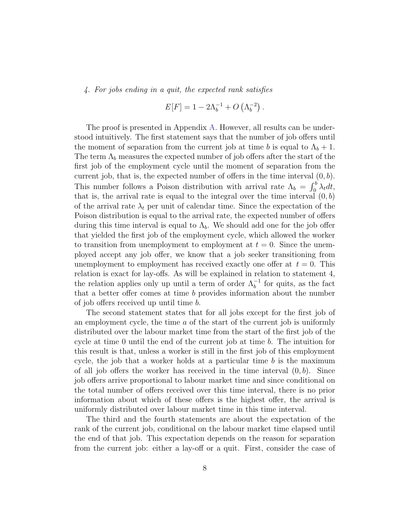<span id="page-8-0"></span>4. For jobs ending in a quit, the expected rank satisfies

$$
E[F] = 1 - 2\Lambda_b^{-1} + O\left(\Lambda_b^{-2}\right).
$$

The proof is presented in Appendix [A.](#page-39-0) However, all results can be understood intuitively. The first statement says that the number of job offers until the moment of separation from the current job at time b is equal to  $\Lambda_b + 1$ . The term  $\Lambda_b$  measures the expected number of job offers after the start of the first job of the employment cycle until the moment of separation from the current job, that is, the expected number of offers in the time interval  $(0, b)$ . This number follows a Poison distribution with arrival rate  $\Lambda_b = \int_0^b \lambda_t dt$ , that is, the arrival rate is equal to the integral over the time interval  $(0, b)$ of the arrival rate  $\lambda_t$  per unit of calendar time. Since the expectation of the Poison distribution is equal to the arrival rate, the expected number of offers during this time interval is equal to  $\Lambda_b$ . We should add one for the job offer that yielded the first job of the employment cycle, which allowed the worker to transition from unemployment to employment at  $t = 0$ . Since the unemployed accept any job offer, we know that a job seeker transitioning from unemployment to employment has received exactly one offer at  $t = 0$ . This relation is exact for lay-offs. As will be explained in relation to statement 4, the relation applies only up until a term of order  $\Lambda_b^{-1}$  for quits, as the fact that a better offer comes at time b provides information about the number of job offers received up until time b.

The second statement states that for all jobs except for the first job of an employment cycle, the time a of the start of the current job is uniformly distributed over the labour market time from the start of the first job of the cycle at time 0 until the end of the current job at time b. The intuition for this result is that, unless a worker is still in the first job of this employment cycle, the job that a worker holds at a particular time  $b$  is the maximum of all job offers the worker has received in the time interval  $(0, b)$ . Since job offers arrive proportional to labour market time and since conditional on the total number of offers received over this time interval, there is no prior information about which of these offers is the highest offer, the arrival is uniformly distributed over labour market time in this time interval.

The third and the fourth statements are about the expectation of the rank of the current job, conditional on the labour market time elapsed until the end of that job. This expectation depends on the reason for separation from the current job: either a lay-off or a quit. First, consider the case of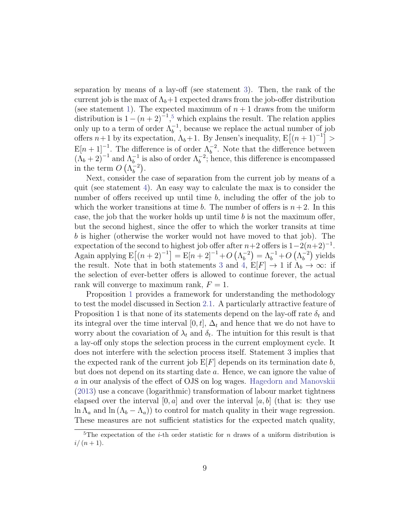separation by means of a lay-off (see statement [3\)](#page-7-0). Then, the rank of the current job is the max of  $\Lambda_b+1$  expected draws from the job-offer distribution (see statement [1\)](#page-7-1). The expected maximum of  $n + 1$  draws from the uniform distribution is  $1-(n+2)^{-1}$ ,<sup>[5](#page-9-0)</sup> which explains the result. The relation applies only up to a term of order  $\Lambda_b^{-1}$ , because we replace the actual number of job offers  $n+1$  by its expectation,  $\Lambda_b+1$ . By Jensen's inequality,  $E[(n+1)^{-1}] >$  $\mathbb{E}[n+1]^{-1}$ . The difference is of order  $\Lambda_b^{-2}$ . Note that the difference between  $(\Lambda_b + 2)^{-1}$  and  $\Lambda_b^{-1}$  is also of order  $\Lambda_b^{-2}$ ; hence, this difference is encompassed in the term  $O(\Lambda_h^{-2})$  $\begin{matrix} -2 \\ b \end{matrix}$ ).

Next, consider the case of separation from the current job by means of a quit (see statement [4\)](#page-8-0). An easy way to calculate the max is to consider the number of offers received up until time  $b$ , including the offer of the job to which the worker transitions at time b. The number of offers is  $n+2$ . In this case, the job that the worker holds up until time  $b$  is not the maximum offer, but the second highest, since the offer to which the worker transits at time b is higher (otherwise the worker would not have moved to that job). The expectation of the second to highest job offer after  $n+2$  offers is  $1-2(n+2)^{-1}$ . Again applying  $E[(n+2)^{-1}] = E[n+2]^{-1} + O(\Lambda_h^{-2})$  $\binom{-2}{b} = \Lambda_b^{-1} + O\left(\Lambda_b^{-2}\right)$  $_{b}^{-2}$ ) yields the result. Note that in both statements [3](#page-7-0) and [4,](#page-8-0)  $E[F] \rightarrow 1$  if  $\Lambda_b \rightarrow \infty$ : if the selection of ever-better offers is allowed to continue forever, the actual rank will converge to maximum rank,  $F = 1$ .

Proposition [1](#page-7-2) provides a framework for understanding the methodology to test the model discussed in Section [2.1.](#page-5-1) A particularly attractive feature of Proposition 1 is that none of its statements depend on the lay-off rate  $\delta_t$  and its integral over the time interval [0, t],  $\Delta_t$  and hence that we do not have to worry about the covariation of  $\lambda_t$  and  $\delta_t$ . The intuition for this result is that a lay-off only stops the selection process in the current employment cycle. It does not interfere with the selection process itself. Statement 3 implies that the expected rank of the current job  $E[F]$  depends on its termination date b, but does not depend on its starting date a. Hence, we can ignore the value of a in our analysis of the effect of OJS on log wages. [Hagedorn and Manovskii](#page-37-1) [\(2013\)](#page-37-1) use a concave (logarithmic) transformation of labour market tightness elapsed over the interval  $[0, a]$  and over the interval  $[a, b]$  (that is: they use  $\ln \Lambda_a$  and  $\ln (\Lambda_b - \Lambda_a)$  to control for match quality in their wage regression. These measures are not sufficient statistics for the expected match quality,

<span id="page-9-0"></span><sup>&</sup>lt;sup>5</sup>The expectation of the *i*-th order statistic for *n* draws of a uniform distribution is  $i/(n+1)$ .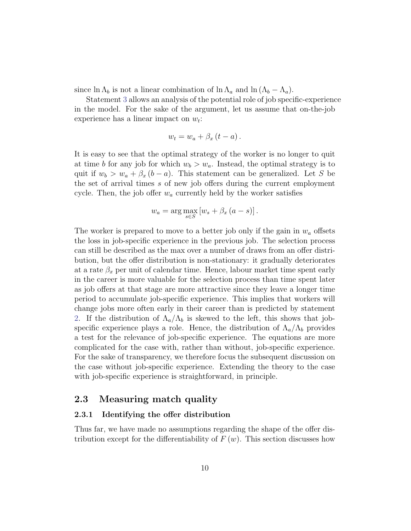since  $\ln \Lambda_b$  is not a linear combination of  $\ln \Lambda_a$  and  $\ln (\Lambda_b - \Lambda_a)$ .

Statement [3](#page-7-0) allows an analysis of the potential role of job specific-experience in the model. For the sake of the argument, let us assume that on-the-job experience has a linear impact on  $w_t$ :

$$
w_t = w_a + \beta_x (t - a).
$$

It is easy to see that the optimal strategy of the worker is no longer to quit at time b for any job for which  $w_b > w_a$ . Instead, the optimal strategy is to quit if  $w_b > w_a + \beta_x (b - a)$ . This statement can be generalized. Let S be the set of arrival times s of new job offers during the current employment cycle. Then, the job offer  $w_a$  currently held by the worker satisfies

$$
w_a = \arg\max_{s \in S} \left[ w_s + \beta_x \left( a - s \right) \right].
$$

The worker is prepared to move to a better job only if the gain in  $w_a$  offsets the loss in job-specific experience in the previous job. The selection process can still be described as the max over a number of draws from an offer distribution, but the offer distribution is non-stationary: it gradually deteriorates at a rate  $\beta_x$  per unit of calendar time. Hence, labour market time spent early in the career is more valuable for the selection process than time spent later as job offers at that stage are more attractive since they leave a longer time period to accumulate job-specific experience. This implies that workers will change jobs more often early in their career than is predicted by statement [2.](#page-7-3) If the distribution of  $\Lambda_a/\Lambda_b$  is skewed to the left, this shows that jobspecific experience plays a role. Hence, the distribution of  $\Lambda_a/\Lambda_b$  provides a test for the relevance of job-specific experience. The equations are more complicated for the case with, rather than without, job-specific experience. For the sake of transparency, we therefore focus the subsequent discussion on the case without job-specific experience. Extending the theory to the case with job-specific experience is straightforward, in principle.

#### 2.3 Measuring match quality

#### 2.3.1 Identifying the offer distribution

Thus far, we have made no assumptions regarding the shape of the offer distribution except for the differentiability of  $F(w)$ . This section discusses how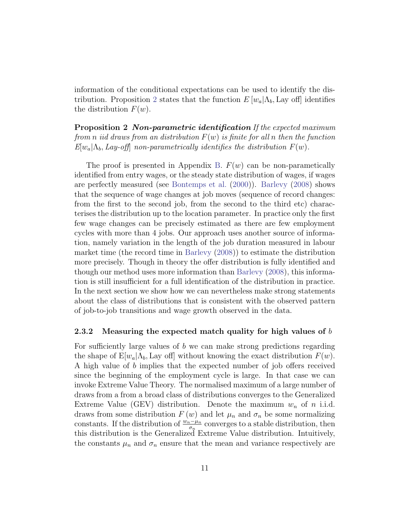information of the conditional expectations can be used to identify the dis-tribution. Proposition [2](#page-11-0) states that the function  $E[w_a|\Lambda_b]$ , Lay off identifies the distribution  $F(w)$ .

<span id="page-11-0"></span>**Proposition 2 Non-parametric identification** If the expected maximum from n iid draws from an distribution  $F(w)$  is finite for all n then the function  $E[w_a|\Lambda_b, Lay-off]$  non-parametrically identifies the distribution  $F(w)$ .

The proof is presented in Appendix [B.](#page-42-0)  $F(w)$  can be non-parametically identified from entry wages, or the steady state distribution of wages, if wages are perfectly measured (see [Bontemps et al.](#page-36-1) [\(2000\)](#page-36-1)). [Barlevy](#page-36-3) [\(2008\)](#page-36-3) shows that the sequence of wage changes at job moves (sequence of record changes: from the first to the second job, from the second to the third etc) characterises the distribution up to the location parameter. In practice only the first few wage changes can be precisely estimated as there are few employment cycles with more than 4 jobs. Our approach uses another source of information, namely variation in the length of the job duration measured in labour market time (the record time in [Barlevy](#page-36-3) [\(2008\)](#page-36-3)) to estimate the distribution more precisely. Though in theory the offer distribution is fully identified and though our method uses more information than [Barlevy](#page-36-3) [\(2008\)](#page-36-3), this information is still insufficient for a full identification of the distribution in practice. In the next section we show how we can nevertheless make strong statements about the class of distributions that is consistent with the observed pattern of job-to-job transitions and wage growth observed in the data.

#### 2.3.2 Measuring the expected match quality for high values of  $b$

For sufficiently large values of  $b$  we can make strong predictions regarding the shape of  $E[w_a|\Lambda_b]$ , Lay off] without knowing the exact distribution  $F(w)$ . A high value of b implies that the expected number of job offers received since the beginning of the employment cycle is large. In that case we can invoke Extreme Value Theory. The normalised maximum of a large number of draws from a from a broad class of distributions converges to the Generalized Extreme Value (GEV) distribution. Denote the maximum  $w_n$  of n i.i.d. draws from some distribution  $F(w)$  and let  $\mu_n$  and  $\sigma_n$  be some normalizing constants. If the distribution of  $\frac{w_n-\mu_n}{\sigma_n}$  converges to a stable distribution, then this distribution is the Generalized Extreme Value distribution. Intuitively, the constants  $\mu_n$  and  $\sigma_n$  ensure that the mean and variance respectively are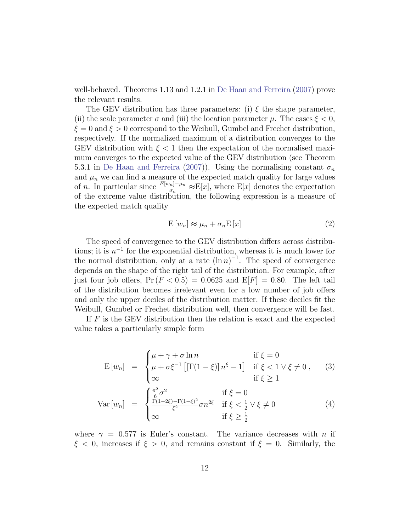well-behaved. Theorems 1.13 and 1.2.1 in [De Haan and Ferreira](#page-36-7) [\(2007\)](#page-36-7) prove the relevant results.

The GEV distribution has three parameters: (i)  $\xi$  the shape parameter, (ii) the scale parameter  $\sigma$  and (iii) the location parameter  $\mu$ . The cases  $\xi < 0$ ,  $\xi = 0$  and  $\xi > 0$  correspond to the Weibull, Gumbel and Frechet distribution, respectively. If the normalized maximum of a distribution converges to the GEV distribution with  $\xi < 1$  then the expectation of the normalised maximum converges to the expected value of the GEV distribution (see Theorem 5.3.1 in [De Haan and Ferreira](#page-36-7) [\(2007\)](#page-36-7)). Using the normalising constant  $\sigma_n$ and  $\mu_n$  we can find a measure of the expected match quality for large values of *n*. In particular since  $\frac{E[w_n]-\mu_n}{\sigma_n} \approx E[x]$ , where  $E[x]$  denotes the expectation of the extreme value distribution, the following expression is a measure of the expected match quality

$$
E\left[w_n\right] \approx \mu_n + \sigma_n E\left[x\right] \tag{2}
$$

The speed of convergence to the GEV distribution differs across distributions; it is  $n^{-1}$  for the exponential distribution, whereas it is much lower for the normal distribution, only at a rate  $(\ln n)^{-1}$ . The speed of convergence depends on the shape of the right tail of the distribution. For example, after just four job offers,  $Pr(F < 0.5) = 0.0625$  and  $E[F] = 0.80$ . The left tail of the distribution becomes irrelevant even for a low number of job offers and only the upper deciles of the distribution matter. If these deciles fit the Weibull, Gumbel or Frechet distribution well, then convergence will be fast.

If F is the GEV distribution then the relation is exact and the expected value takes a particularly simple form

<span id="page-12-0"></span>
$$
E[w_n] = \begin{cases} \mu + \gamma + \sigma \ln n & \text{if } \xi = 0\\ \mu + \sigma \xi^{-1} \left[ \left[ \Gamma(1 - \xi) \right] n^{\xi} - 1 \right] & \text{if } \xi < 1 \vee \xi \neq 0, \quad (3) \\ \infty & \text{if } \xi \geq 1 \end{cases}
$$
  

$$
Var[w_n] = \begin{cases} \frac{\pi^2}{6} \sigma^2 & \text{if } \xi = 0\\ \frac{\Gamma(1 - 2\xi) - \Gamma(1 - \xi)^2}{\xi^2} \sigma n^{2\xi} & \text{if } \xi < \frac{1}{2} \vee \xi \neq 0\\ \infty & \text{if } \xi \geq \frac{1}{2} \end{cases}
$$
 (4)

2

where  $\gamma = 0.577$  is Euler's constant. The variance decreases with n if  $\xi < 0$ , increases if  $\xi > 0$ , and remains constant if  $\xi = 0$ . Similarly, the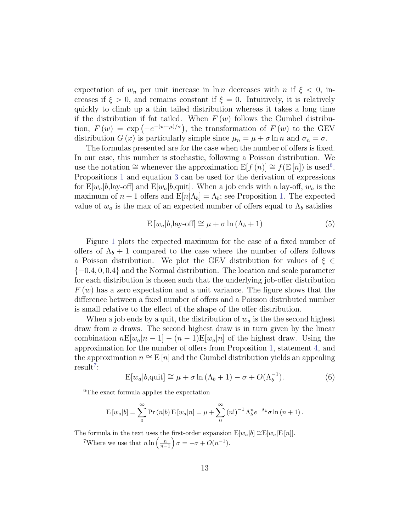expectation of  $w_n$  per unit increase in ln n decreases with n if  $\xi < 0$ , increases if  $\xi > 0$ , and remains constant if  $\xi = 0$ . Intuitively, it is relatively quickly to climb up a thin tailed distribution whereas it takes a long time if the distribution if fat tailed. When  $F(w)$  follows the Gumbel distribution,  $F(w) = \exp(-e^{-(w-\mu)/\sigma})$ , the transformation of  $F(w)$  to the GEV distribution  $G(x)$  is particularly simple since  $\mu_n = \mu + \sigma \ln n$  and  $\sigma_n = \sigma$ .

The formulas presented are for the case when the number of offers is fixed. In our case, this number is stochastic, following a Poisson distribution. We use the notation  $\cong$  whenever the approximation  $E[f(n)] \cong f(E[n])$  is used<sup>[6](#page-13-0)</sup>. Propositions [1](#page-7-2) and equation [3](#page-12-0) can be used for the derivation of expressions for  $E[w_a|b]$ , lay-off] and  $E[w_a|b]$ , quit]. When a job ends with a lay-off,  $w_a$  is the maximum of  $n+1$  offers and  $E[n|\Lambda_b] = \Lambda_b$ ; see Proposition [1.](#page-7-2) The expected value of  $w_a$  is the max of an expected number of offers equal to  $\Lambda_b$  satisfies

<span id="page-13-2"></span>
$$
E[w_a|b, \text{lay-off}] \cong \mu + \sigma \ln(\Lambda_b + 1)
$$
\n(5)

Figure [1](#page-14-0) plots the expected maximum for the case of a fixed number of offers of  $\Lambda_b + 1$  compared to the case where the number of offers follows a Poisson distribution. We plot the GEV distribution for values of  $\xi \in$ {−0.4, 0, 0.4} and the Normal distribution. The location and scale parameter for each distribution is chosen such that the underlying job-offer distribution  $F(w)$  has a zero expectation and a unit variance. The figure shows that the difference between a fixed number of offers and a Poisson distributed number is small relative to the effect of the shape of the offer distribution.

When a job ends by a quit, the distribution of  $w_a$  is the the second highest draw from  $n$  draws. The second highest draw is in turn given by the linear combination  $nE[w_a|n-1] - (n-1)E[w_a|n]$  of the highest draw. Using the approximation for the number of offers from Proposition [1,](#page-7-2) statement [4,](#page-8-0) and the approximation  $n \cong E[n]$  and the Gumbel distribution yields an appealing  $result<sup>7</sup>$  $result<sup>7</sup>$  $result<sup>7</sup>$ :

$$
E[w_a|b, \text{quit}] \cong \mu + \sigma \ln(\Lambda_b + 1) - \sigma + O(\Lambda_b^{-1}). \tag{6}
$$

<span id="page-13-0"></span><sup>6</sup>The exact formula applies the expectation

$$
E[w_a|b] = \sum_{0}^{\infty} Pr(n|b) E[w_a|n] = \mu + \sum_{0}^{\infty} (n!)^{-1} \Lambda_b^n e^{-\Lambda_b} \sigma \ln(n+1).
$$

The formula in the text uses the first-order expansion  $E[w_a|b] \cong E[w_a|E[n]]$ .

<span id="page-13-1"></span><sup>7</sup>Where we use that  $n \ln \left( \frac{n}{n-1} \right) \sigma = -\sigma + O(n^{-1}).$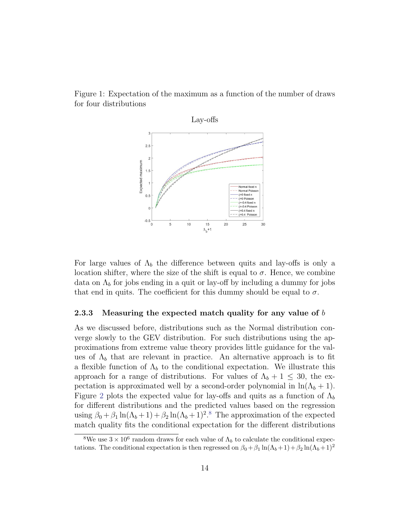

<span id="page-14-0"></span>

For large values of  $\Lambda_b$  the difference between quits and lay-offs is only a location shifter, where the size of the shift is equal to  $\sigma$ . Hence, we combine data on  $\Lambda_b$  for jobs ending in a quit or lay-off by including a dummy for jobs that end in quits. The coefficient for this dummy should be equal to  $\sigma$ .

#### 2.3.3 Measuring the expected match quality for any value of  $b$

As we discussed before, distributions such as the Normal distribution converge slowly to the GEV distribution. For such distributions using the approximations from extreme value theory provides little guidance for the values of  $\Lambda_b$  that are relevant in practice. An alternative approach is to fit a flexible function of  $\Lambda_b$  to the conditional expectation. We illustrate this approach for a range of distributions. For values of  $\Lambda_b + 1 \leq 30$ , the expectation is approximated well by a second-order polynomial in  $\ln(\Lambda_b + 1)$ . Figure [2](#page-15-1) plots the expected value for lay-offs and quits as a function of  $\Lambda_b$ for different distributions and the predicted values based on the regression using  $\beta_0 + \beta_1 \ln(\Lambda_b + 1) + \beta_2 \ln(\Lambda_b + 1)^2$ <sup>[8](#page-14-1)</sup> The approximation of the expected match quality fits the conditional expectation for the different distributions

<span id="page-14-1"></span><sup>&</sup>lt;sup>8</sup>We use  $3 \times 10^6$  random draws for each value of  $\Lambda_b$  to calculate the conditional expectations. The conditional expectation is then regressed on  $\beta_0 + \beta_1 \ln(\Lambda_b + 1) + \beta_2 \ln(\Lambda_b + 1)^2$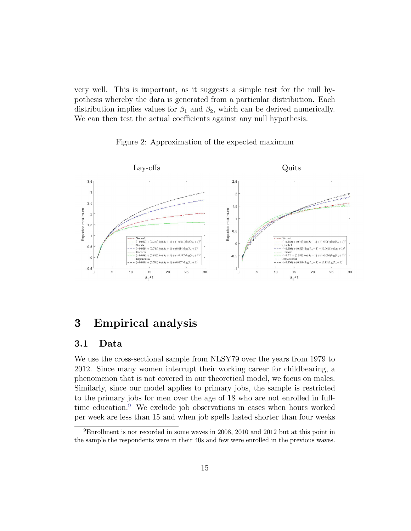very well. This is important, as it suggests a simple test for the null hypothesis whereby the data is generated from a particular distribution. Each distribution implies values for  $\beta_1$  and  $\beta_2$ , which can be derived numerically. We can then test the actual coefficients against any null hypothesis.

<span id="page-15-1"></span>



## <span id="page-15-0"></span>3 Empirical analysis

## 3.1 Data

We use the cross-sectional sample from NLSY79 over the years from 1979 to 2012. Since many women interrupt their working career for childbearing, a phenomenon that is not covered in our theoretical model, we focus on males. Similarly, since our model applies to primary jobs, the sample is restricted to the primary jobs for men over the age of 18 who are not enrolled in full-time education.<sup>[9](#page-15-2)</sup> We exclude job observations in cases when hours worked per week are less than 15 and when job spells lasted shorter than four weeks

<span id="page-15-2"></span><sup>9</sup>Enrollment is not recorded in some waves in 2008, 2010 and 2012 but at this point in the sample the respondents were in their 40s and few were enrolled in the previous waves.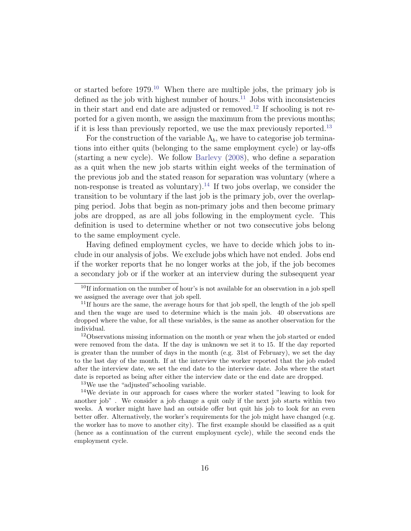or started before  $1979<sup>10</sup>$  $1979<sup>10</sup>$  $1979<sup>10</sup>$  When there are multiple jobs, the primary job is defined as the job with highest number of hours. $^{11}$  $^{11}$  $^{11}$  Jobs with inconsistencies in their start and end date are adjusted or removed.<sup>[12](#page-16-2)</sup> If schooling is not reported for a given month, we assign the maximum from the previous months; if it is less than previously reported, we use the max previously reported.[13](#page-16-3)

For the construction of the variable  $\Lambda_b$ , we have to categorise job terminations into either quits (belonging to the same employment cycle) or lay-offs (starting a new cycle). We follow [Barlevy](#page-36-3) [\(2008\)](#page-36-3), who define a separation as a quit when the new job starts within eight weeks of the termination of the previous job and the stated reason for separation was voluntary (where a non-response is treated as voluntary).<sup>[14](#page-16-4)</sup> If two jobs overlap, we consider the transition to be voluntary if the last job is the primary job, over the overlapping period. Jobs that begin as non-primary jobs and then become primary jobs are dropped, as are all jobs following in the employment cycle. This definition is used to determine whether or not two consecutive jobs belong to the same employment cycle.

Having defined employment cycles, we have to decide which jobs to include in our analysis of jobs. We exclude jobs which have not ended. Jobs end if the worker reports that he no longer works at the job, if the job becomes a secondary job or if the worker at an interview during the subsequent year

<span id="page-16-4"></span><span id="page-16-3"></span><sup>13</sup>We use the "adjusted" schooling variable.

<span id="page-16-0"></span><sup>&</sup>lt;sup>10</sup>If information on the number of hour's is not available for an observation in a job spell we assigned the average over that job spell.

<span id="page-16-1"></span><sup>&</sup>lt;sup>11</sup>If hours are the same, the average hours for that job spell, the length of the job spell and then the wage are used to determine which is the main job. 40 observations are dropped where the value, for all these variables, is the same as another observation for the individual.

<span id="page-16-2"></span><sup>12</sup>Observations missing information on the month or year when the job started or ended were removed from the data. If the day is unknown we set it to 15. If the day reported is greater than the number of days in the month (e.g. 31st of February), we set the day to the last day of the month. If at the interview the worker reported that the job ended after the interview date, we set the end date to the interview date. Jobs where the start date is reported as being after either the interview date or the end date are dropped.

<sup>14</sup>We deviate in our approach for cases where the worker stated "leaving to look for another job" . We consider a job change a quit only if the next job starts within two weeks. A worker might have had an outside offer but quit his job to look for an even better offer. Alternatively, the worker's requirements for the job might have changed (e.g. the worker has to move to another city). The first example should be classified as a quit (hence as a continuation of the current employment cycle), while the second ends the employment cycle.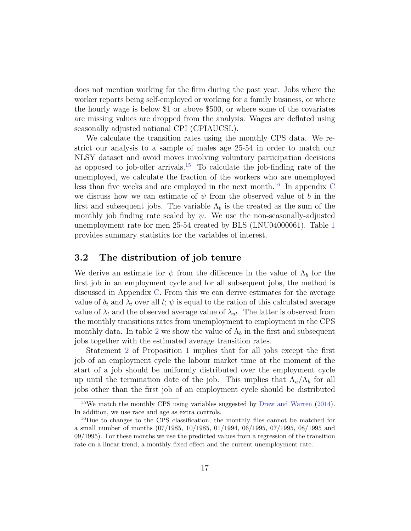does not mention working for the firm during the past year. Jobs where the worker reports being self-employed or working for a family business, or where the hourly wage is below \$1 or above \$500, or where some of the covariates are missing values are dropped from the analysis. Wages are deflated using seasonally adjusted national CPI (CPIAUCSL).

We calculate the transition rates using the monthly CPS data. We restrict our analysis to a sample of males age 25-54 in order to match our NLSY dataset and avoid moves involving voluntary participation decisions as opposed to job-offer arrivals.<sup>[15](#page-17-0)</sup> To calculate the job-finding rate of the unemployed, we calculate the fraction of the workers who are unemployed less than five weeks and are employed in the next month.<sup>[16](#page-17-1)</sup> In appendix  $C$ we discuss how we can estimate of  $\psi$  from the observed value of b in the first and subsequent jobs. The variable  $\Lambda_b$  is the created as the sum of the monthly job finding rate scaled by  $\psi$ . We use the non-seasonally-adjusted unemployment rate for men 25-54 created by BLS (LNU04000061). Table [1](#page-18-0) provides summary statistics for the variables of interest.

#### 3.2 The distribution of job tenure

We derive an estimate for  $\psi$  from the difference in the value of  $\Lambda_b$  for the first job in an employment cycle and for all subsequent jobs, the method is discussed in Appendix [C.](#page-42-1) From this we can derive estimates for the average value of  $\delta_t$  and  $\lambda_t$  over all t;  $\psi$  is equal to the ration of this calculated average value of  $\lambda_t$  and the observed average value of  $\lambda_{ut}$ . The latter is observed from the monthly transitions rates from unemployment to employment in the CPS monthly data. In table [2](#page-18-1) we show the value of  $\Lambda_b$  in the first and subsequent jobs together with the estimated average transition rates.

Statement [2](#page-7-3) of Proposition 1 implies that for all jobs except the first job of an employment cycle the labour market time at the moment of the start of a job should be uniformly distributed over the employment cycle up until the termination date of the job. This implies that  $\Lambda_a/\Lambda_b$  for all jobs other than the first job of an employment cycle should be distributed

<span id="page-17-0"></span><sup>15</sup>We match the monthly CPS using variables suggested by [Drew and Warren](#page-36-8) [\(2014\)](#page-36-8). In addition, we use race and age as extra controls.

<span id="page-17-1"></span><sup>&</sup>lt;sup>16</sup>Due to changes to the CPS classification, the monthly files cannot be matched for a small number of months (07/1985, 10/1985, 01/1994, 06/1995, 07/1995, 08/1995 and 09/1995). For these months we use the predicted values from a regression of the transition rate on a linear trend, a monthly fixed effect and the current unemployment rate.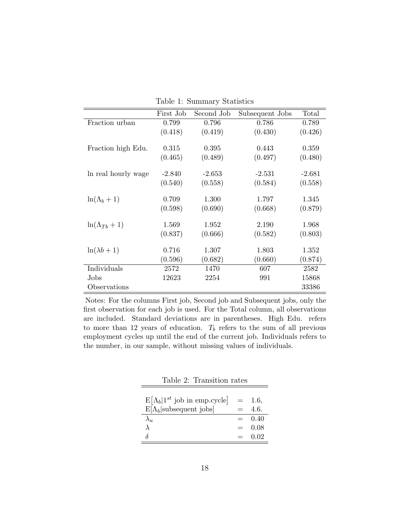|                       | First Job | Second Job | Subsequent Jobs | Total    |
|-----------------------|-----------|------------|-----------------|----------|
| Fraction urban        | 0.799     | 0.796      | 0.786           | 0.789    |
|                       | (0.418)   | (0.419)    | (0.430)         | (0.426)  |
|                       |           |            |                 |          |
| Fraction high Edu.    | 0.315     | 0.395      | 0.443           | 0.359    |
|                       | (0.465)   | (0.489)    | (0.497)         | (0.480)  |
|                       |           |            |                 |          |
| In real hourly wage   | $-2.840$  | $-2.653$   | $-2.531$        | $-2.681$ |
|                       | (0.540)   | (0.558)    | (0.584)         | (0.558)  |
|                       |           |            |                 |          |
| $\ln(\Lambda_b+1)$    | 0.709     | 1.300      | 1.797           | 1.345    |
|                       | (0.598)   | (0.690)    | (0.668)         | (0.879)  |
|                       |           |            |                 |          |
| $\ln(\Lambda_{Tb}+1)$ | 1.569     | 1.952      | 2.190           | 1.968    |
|                       | (0.837)   | (0.666)    | (0.582)         | (0.803)  |
| $\ln(\lambda b + 1)$  | 0.716     | 1.307      | 1.803           | 1.352    |
|                       |           |            |                 |          |
|                       | (0.596)   | (0.682)    | (0.660)         | (0.874)  |
| Individuals           | 2572      | 1470       | 607             | 2582     |
| Jobs                  | 12623     | 2254       | 991             | 15868    |
| Observations          |           |            |                 | 33386    |

<span id="page-18-0"></span>Table 1: Summary Statistics

Notes: For the columns First job, Second job and Subsequent jobs, only the first observation for each job is used. For the Total column, all observations are included. Standard deviations are in parentheses. High Edu. refers to more than 12 years of education.  $T_b$  refers to the sum of all previous employment cycles up until the end of the current job. Individuals refers to the number, in our sample, without missing values of individuals.

| $E[\Lambda_b 1^{st}$ job in emp.cycle = |     | 1.6,     |
|-----------------------------------------|-----|----------|
| $E[\Lambda_b]$ subsequent jobs          |     | 4.6.     |
|                                         |     | $= 0.40$ |
|                                         | $=$ | 0.08     |
| δ                                       |     | 0.02     |

<span id="page-18-1"></span>Table 2: Transition rates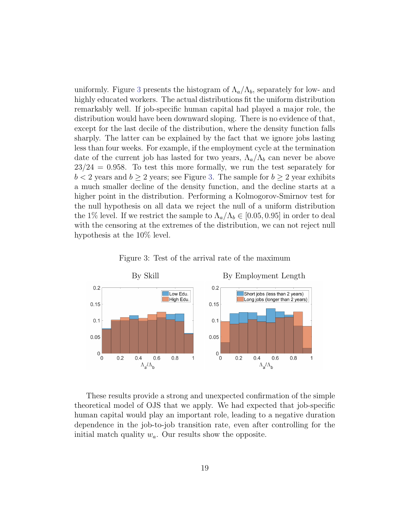uniformly. Figure [3](#page-19-0) presents the histogram of  $\Lambda_a/\Lambda_b$ , separately for low- and highly educated workers. The actual distributions fit the uniform distribution remarkably well. If job-specific human capital had played a major role, the distribution would have been downward sloping. There is no evidence of that, except for the last decile of the distribution, where the density function falls sharply. The latter can be explained by the fact that we ignore jobs lasting less than four weeks. For example, if the employment cycle at the termination date of the current job has lasted for two years,  $\Lambda_a/\Lambda_b$  can never be above  $23/24 = 0.958$ . To test this more formally, we run the test separately for  $b < 2$  years and  $b \ge 2$  years; see Figure [3.](#page-19-0) The sample for  $b \ge 2$  year exhibits a much smaller decline of the density function, and the decline starts at a higher point in the distribution. Performing a Kolmogorov-Smirnov test for the null hypothesis on all data we reject the null of a uniform distribution the 1% level. If we restrict the sample to  $\Lambda_a/\Lambda_b \in [0.05, 0.95]$  in order to deal with the censoring at the extremes of the distribution, we can not reject null hypothesis at the 10% level.



<span id="page-19-0"></span>Figure 3: Test of the arrival rate of the maximum

These results provide a strong and unexpected confirmation of the simple theoretical model of OJS that we apply. We had expected that job-specific human capital would play an important role, leading to a negative duration dependence in the job-to-job transition rate, even after controlling for the initial match quality  $w_a$ . Our results show the opposite.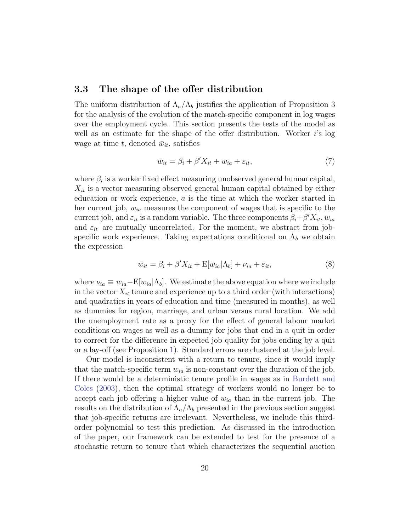#### 3.3 The shape of the offer distribution

The uniform distribution of  $\Lambda_a/\Lambda_b$  justifies the application of Proposition 3 for the analysis of the evolution of the match-specific component in log wages over the employment cycle. This section presents the tests of the model as well as an estimate for the shape of the offer distribution. Worker i's log wage at time t, denoted  $\bar{w}_{it}$ , satisfies

$$
\bar{w}_{it} = \beta_i + \beta' X_{it} + w_{ia} + \varepsilon_{it},\tag{7}
$$

where  $\beta_i$  is a worker fixed effect measuring unobserved general human capital,  $X_{it}$  is a vector measuring observed general human capital obtained by either education or work experience,  $a$  is the time at which the worker started in her current job,  $w_{ia}$  measures the component of wages that is specific to the current job, and  $\varepsilon_{it}$  is a random variable. The three components  $\beta_i + \beta' X_{it}$ ,  $w_{ia}$ and  $\varepsilon_{it}$  are mutually uncorrelated. For the moment, we abstract from jobspecific work experience. Taking expectations conditional on  $\Lambda_b$  we obtain the expression

<span id="page-20-0"></span>
$$
\bar{w}_{it} = \beta_i + \beta' X_{it} + \mathcal{E}[w_{ia} | \Lambda_b] + \nu_{ia} + \varepsilon_{it},\tag{8}
$$

where  $\nu_{ia} \equiv w_{ia} - E[w_{ia}|\Lambda_b]$ . We estimate the above equation where we include in the vector  $X_{it}$  tenure and experience up to a third order (with interactions) and quadratics in years of education and time (measured in months), as well as dummies for region, marriage, and urban versus rural location. We add the unemployment rate as a proxy for the effect of general labour market conditions on wages as well as a dummy for jobs that end in a quit in order to correct for the difference in expected job quality for jobs ending by a quit or a lay-off (see Proposition [1\)](#page-7-2). Standard errors are clustered at the job level.

Our model is inconsistent with a return to tenure, since it would imply that the match-specific term  $w_{ia}$  is non-constant over the duration of the job. If there would be a deterministic tenure profile in wages as in [Burdett and](#page-36-4) [Coles](#page-36-4) [\(2003\)](#page-36-4), then the optimal strategy of workers would no longer be to accept each job offering a higher value of  $w_{ia}$  than in the current job. The results on the distribution of  $\Lambda_a/\Lambda_b$  presented in the previous section suggest that job-specific returns are irrelevant. Nevertheless, we include this thirdorder polynomial to test this prediction. As discussed in the introduction of the paper, our framework can be extended to test for the presence of a stochastic return to tenure that which characterizes the sequential auction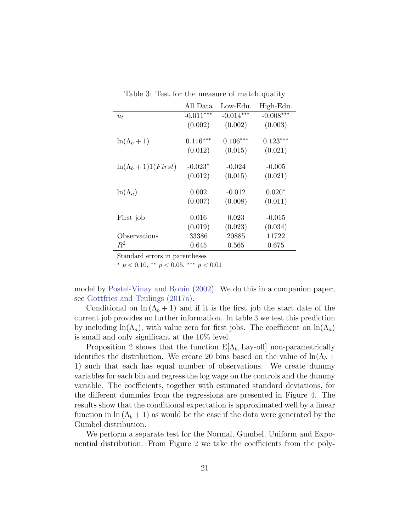<span id="page-21-0"></span>

|  |  | Table 3: Test for the measure of match quality |  |  |
|--|--|------------------------------------------------|--|--|
|--|--|------------------------------------------------|--|--|

|                            | All Data    | Low-Edu.    | High-Edu.   |
|----------------------------|-------------|-------------|-------------|
| $u_t$                      | $-0.011***$ | $-0.014***$ | $-0.008***$ |
|                            | (0.002)     | (0.002)     | (0.003)     |
| $\ln(\Lambda_b+1)$         | $0.116***$  | $0.106***$  | $0.123***$  |
|                            | (0.012)     | (0.015)     | (0.021)     |
| $\ln(\Lambda_b+1)1(First)$ | $-0.023*$   | $-0.024$    | $-0.005$    |
|                            | (0.012)     | (0.015)     | (0.021)     |
| $\ln(\Lambda_a)$           | 0.002       | $-0.012$    | $0.020*$    |
|                            | (0.007)     | (0.008)     | (0.011)     |
| First job                  | 0.016       | 0.023       | $-0.015$    |
|                            | (0.019)     | (0.023)     | (0.034)     |
| Observations               | 33386       | 20885       | 11722       |
| $R^2$                      | 0.645       | 0.565       | 0.675       |

\*  $p < 0.10$ , \*\*  $p < 0.05$ , \*\*\*  $p < 0.01$ 

model by [Postel-Vinay and Robin](#page-38-1) [\(2002\)](#page-38-1). We do this in a companion paper, see [Gottfries and Teulings](#page-37-7) [\(2017a\)](#page-37-7).

Conditional on  $\ln(\Lambda_b + 1)$  and if it is the first job the start date of the current job provides no further information. In table [3](#page-21-0) we test this prediction by including  $ln(\Lambda_a)$ , with value zero for first jobs. The coefficient on  $ln(\Lambda_a)$ is small and only significant at the 10% level.

Proposition [2](#page-11-0) shows that the function  $E[\Lambda_b, \text{Lay-off}]$  non-parametrically identifies the distribution. We create 20 bins based on the value of  $\ln(\Lambda_b +$ 1) such that each has equal number of observations. We create dummy variables for each bin and regress the log wage on the controls and the dummy variable. The coefficients, together with estimated standard deviations, for the different dummies from the regressions are presented in Figure [4.](#page-22-0) The results show that the conditional expectation is approximated well by a linear function in  $\ln(\Lambda_b + 1)$  as would be the case if the data were generated by the Gumbel distribution.

We perform a separate test for the Normal, Gumbel, Uniform and Exponential distribution. From Figure [2](#page-15-1) we take the coefficients from the poly-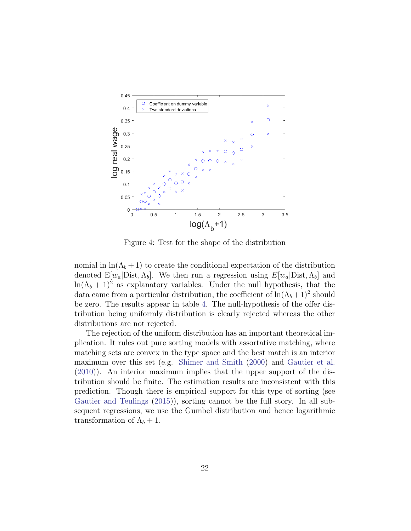

<span id="page-22-0"></span>Figure 4: Test for the shape of the distribution

nomial in  $\ln(\Lambda_b + 1)$  to create the conditional expectation of the distribution denoted  $E[w_a]$ Dist,  $\Lambda_b$ . We then run a regression using  $E[w_a]$ Dist,  $\Lambda_b$  and  $ln(\Lambda_b + 1)^2$  as explanatory variables. Under the null hypothesis, that the data came from a particular distribution, the coefficient of  $\ln(\Lambda_b + 1)^2$  should be zero. The results appear in table [4.](#page-23-0) The null-hypothesis of the offer distribution being uniformly distribution is clearly rejected whereas the other distributions are not rejected.

The rejection of the uniform distribution has an important theoretical implication. It rules out pure sorting models with assortative matching, where matching sets are convex in the type space and the best match is an interior maximum over this set (e.g. [Shimer and Smith](#page-38-4) [\(2000\)](#page-38-4) and [Gautier et al.](#page-37-5) [\(2010\)](#page-37-5)). An interior maximum implies that the upper support of the distribution should be finite. The estimation results are inconsistent with this prediction. Though there is empirical support for this type of sorting (see [Gautier and Teulings](#page-37-9) [\(2015\)](#page-37-9)), sorting cannot be the full story. In all subsequent regressions, we use the Gumbel distribution and hence logarithmic transformation of  $\Lambda_b + 1$ .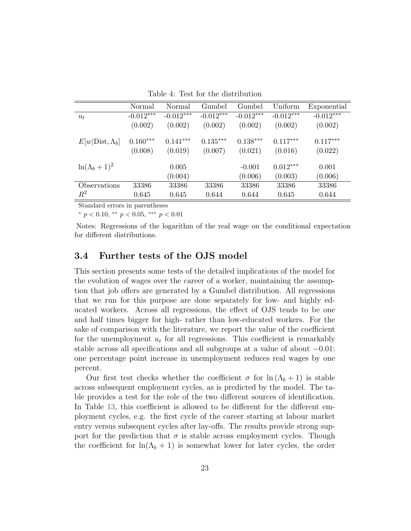<span id="page-23-0"></span>Table 4: Test for the distribution

|                        | Normal      | Normal      | Gumbel      | Gumbel      | Uniform     | Exponential |
|------------------------|-------------|-------------|-------------|-------------|-------------|-------------|
| $u_t$                  | $-0.012***$ | $-0.012***$ | $-0.012***$ | $-0.012***$ | $-0.012***$ | $-0.012***$ |
|                        | (0.002)     | (0.002)     | (0.002)     | (0.002)     | (0.002)     | (0.002)     |
| $E[w]Dist, \Lambda_b]$ | $0.160***$  | $0.141***$  | $0.135***$  | $0.138***$  | $0.117***$  | $0.117***$  |
|                        | (0.008)     | (0.019)     | (0.007)     | (0.021)     | (0.016)     | (0.022)     |
| $\ln(\Lambda_b+1)^2$   |             | 0.005       |             | $-0.001$    | $0.012***$  | 0.001       |
|                        |             | (0.004)     |             | (0.006)     | (0.003)     | (0.006)     |
| Observations           | 33386       | 33386       | 33386       | 33386       | 33386       | 33386       |
| $\,R^2$                | 0.645       | 0.645       | 0.644       | 0.644       | 0.645       | 0.644       |

 $*$  p < 0.10,  $*$  p < 0.05,  $**$  p < 0.01

Notes: Regressions of the logarithm of the real wage on the conditional expectation for different distributions.

#### 3.4 Further tests of the OJS model

This section presents some tests of the detailed implications of the model for the evolution of wages over the career of a worker, maintaining the assumption that job offers are generated by a Gumbel distribution. All regressions that we run for this purpose are done separately for low- and highly educated workers. Across all regressions, the effect of OJS tends to be one and half times bigger for high- rather than low-educated workers. For the sake of comparison with the literature, we report the value of the coefficient for the unemployment  $u_t$  for all regressions. This coefficient is remarkably stable across all specifications and all subgroups at a value of about −0.01: one percentage point increase in unemployment reduces real wages by one percent.

Our first test checks whether the coefficient  $\sigma$  for  $\ln(\Lambda_b + 1)$  is stable across subsequent employment cycles, as is predicted by the model. The table provides a test for the role of the two different sources of identification. In Table [13,](#page-44-0) this coefficient is allowed to be different for the different employment cycles, e.g. the first cycle of the career starting at labour market entry versus subsequent cycles after lay-offs. The results provide strong support for the prediction that  $\sigma$  is stable across employment cycles. Though the coefficient for  $\ln(\Lambda_b + 1)$  is somewhat lower for later cycles, the order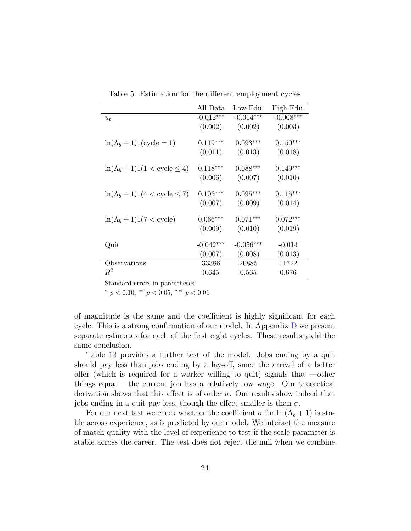|                                                | All Data    | Low-Edu.    | High-Edu.   |
|------------------------------------------------|-------------|-------------|-------------|
| $u_t$                                          | $-0.012***$ | $-0.014***$ | $-0.008***$ |
|                                                | (0.002)     | (0.002)     | (0.003)     |
| $\ln(\Lambda_b + 1)1$ (cycle = 1)              | $0.119***$  | $0.093***$  | $0.150***$  |
|                                                | (0.011)     | (0.013)     | (0.018)     |
| $\ln(\Lambda_b+1)1(1<$ cycle $\leq 4)$         | $0.118***$  | $0.088***$  | $0.149***$  |
|                                                | (0.006)     | (0.007)     | (0.010)     |
| $\ln(\Lambda_b + 1)1(4 < \text{cycle} \leq 7)$ | $0.103***$  | $0.095***$  | $0.115***$  |
|                                                | (0.007)     | (0.009)     | (0.014)     |
| $\ln(\Lambda_b+1)1(7<\text{cycle})$            | $0.066***$  | $0.071***$  | $0.072***$  |
|                                                | (0.009)     | (0.010)     | (0.019)     |
| Quit                                           | $-0.042***$ | $-0.056***$ | $-0.014$    |
|                                                | (0.007)     | (0.008)     | (0.013)     |
| Observations                                   | 33386       | 20885       | 11722       |
| $R^2$                                          | 0.645       | 0.565       | 0.676       |

Table 5: Estimation for the different employment cycles

\*  $p < 0.10$ , \*\*  $p < 0.05$ , \*\*\*  $p < 0.01$ 

of magnitude is the same and the coefficient is highly significant for each cycle. This is a strong confirmation of our model. In Appendix [D](#page-43-0) we present separate estimates for each of the first eight cycles. These results yield the same conclusion.

Table [13](#page-44-0) provides a further test of the model. Jobs ending by a quit should pay less than jobs ending by a lay-off, since the arrival of a better offer (which is required for a worker willing to quit) signals that —other things equal— the current job has a relatively low wage. Our theoretical derivation shows that this affect is of order  $\sigma$ . Our results show indeed that jobs ending in a quit pay less, though the effect smaller is than  $\sigma$ .

For our next test we check whether the coefficient  $\sigma$  for  $\ln(\Lambda_b + 1)$  is stable across experience, as is predicted by our model. We interact the measure of match quality with the level of experience to test if the scale parameter is stable across the career. The test does not reject the null when we combine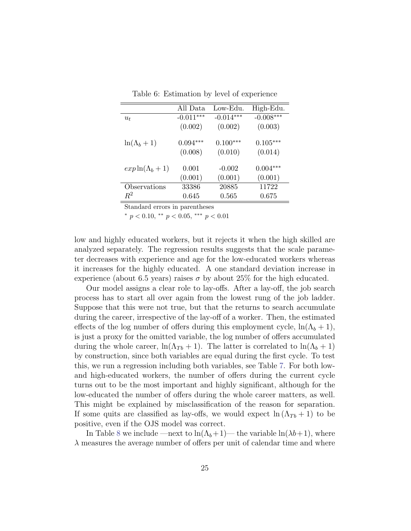Table 6: Estimation by level of experience

|                         | All Data    | Low-Edu.    | High-Edu.   |
|-------------------------|-------------|-------------|-------------|
| $u_t$                   | $-0.011***$ | $-0.014***$ | $-0.008***$ |
|                         | (0.002)     | (0.002)     | (0.003)     |
| $\ln(\Lambda_b+1)$      | $0.094***$  | $0.100***$  | $0.105***$  |
|                         | (0.008)     | (0.010)     | (0.014)     |
| $\exp \ln(\Lambda_b+1)$ | 0.001       | $-0.002$    | $0.004***$  |
|                         | (0.001)     | (0.001)     | (0.001)     |
| Observations            | 33386       | 20885       | 11722       |
| $\,R^2$                 | 0.645       | 0.565       | 0.675       |

\*  $p < 0.10$ , \*\*  $p < 0.05$ , \*\*\*  $p < 0.01$ 

low and highly educated workers, but it rejects it when the high skilled are analyzed separately. The regression results suggests that the scale parameter decreases with experience and age for the low-educated workers whereas it increases for the highly educated. A one standard deviation increase in experience (about 6.5 years) raises  $\sigma$  by about 25% for the high educated.

Our model assigns a clear role to lay-offs. After a lay-off, the job search process has to start all over again from the lowest rung of the job ladder. Suppose that this were not true, but that the returns to search accumulate during the career, irrespective of the lay-off of a worker. Then, the estimated effects of the log number of offers during this employment cycle,  $\ln(\Lambda_b + 1)$ , is just a proxy for the omitted variable, the log number of offers accumulated during the whole career,  $\ln(\Lambda_{Tb} + 1)$ . The latter is correlated to  $\ln(\Lambda_b + 1)$ by construction, since both variables are equal during the first cycle. To test this, we run a regression including both variables, see Table [7.](#page-26-0) For both lowand high-educated workers, the number of offers during the current cycle turns out to be the most important and highly significant, although for the low-educated the number of offers during the whole career matters, as well. This might be explained by misclassification of the reason for separation. If some quits are classified as lay-offs, we would expect  $\ln(\Lambda_{Tb} + 1)$  to be positive, even if the OJS model was correct.

In Table [8](#page-27-0) we include —next to  $\ln(\Lambda_b+1)$ — the variable  $\ln(\lambda_b+1)$ , where  $\lambda$  measures the average number of offers per unit of calendar time and where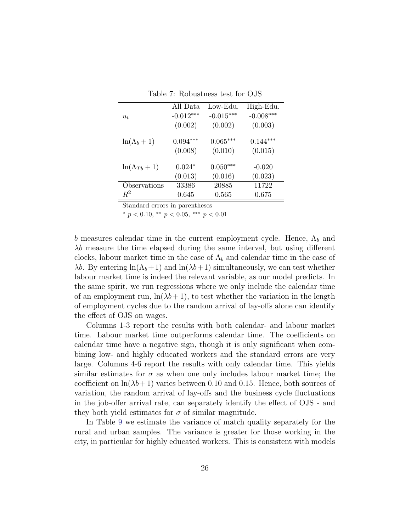|                      | All Data    | Low-Edu.    | High-Edu.   |
|----------------------|-------------|-------------|-------------|
| $u_t$                | $-0.012***$ | $-0.015***$ | $-0.008***$ |
|                      | (0.002)     | (0.002)     | (0.003)     |
| $\ln(\Lambda_b+1)$   | $0.094***$  | $0.065***$  | $0.144***$  |
|                      | (0.008)     | (0.010)     | (0.015)     |
| $ln(\Lambda_{Tb}+1)$ | $0.024*$    | $0.050***$  | $-0.020$    |
|                      | (0.013)     | (0.016)     | (0.023)     |
| Observations         | 33386       | 20885       | 11722       |
| $\,R^2$              | 0.645       | 0.565       | 0.675       |

<span id="page-26-0"></span>Table 7: Robustness test for OJS

 $*$  p < 0.10,  $*$  p < 0.05,  $**$  p < 0.01

b measures calendar time in the current employment cycle. Hence,  $\Lambda_b$  and  $\lambda b$  measure the time elapsed during the same interval, but using different clocks, labour market time in the case of  $\Lambda_b$  and calendar time in the case of λb. By entering  $ln(Λ<sub>b</sub>+1)$  and  $ln(λb+1)$  simultaneously, we can test whether labour market time is indeed the relevant variable, as our model predicts. In the same spirit, we run regressions where we only include the calendar time of an employment run,  $\ln(\lambda b + 1)$ , to test whether the variation in the length of employment cycles due to the random arrival of lay-offs alone can identify the effect of OJS on wages.

Columns 1-3 report the results with both calendar- and labour market time. Labour market time outperforms calendar time. The coefficients on calendar time have a negative sign, though it is only significant when combining low- and highly educated workers and the standard errors are very large. Columns 4-6 report the results with only calendar time. This yields similar estimates for  $\sigma$  as when one only includes labour market time; the coefficient on  $\ln(\lambda b + 1)$  varies between 0.10 and 0.15. Hence, both sources of variation, the random arrival of lay-offs and the business cycle fluctuations in the job-offer arrival rate, can separately identify the effect of OJS - and they both yield estimates for  $\sigma$  of similar magnitude.

In Table [9](#page-27-1) we estimate the variance of match quality separately for the rural and urban samples. The variance is greater for those working in the city, in particular for highly educated workers. This is consistent with models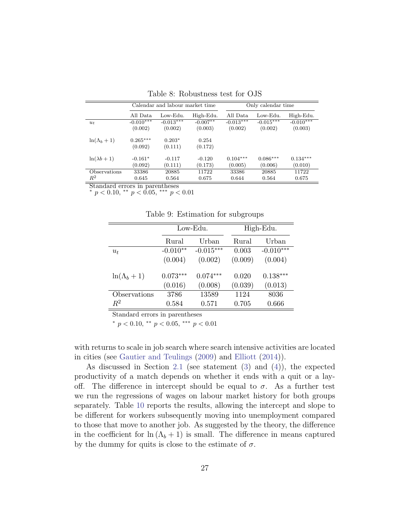|                     | Calendar and labour market time |             | Only calendar time |             |             |             |
|---------------------|---------------------------------|-------------|--------------------|-------------|-------------|-------------|
|                     | All Data                        | Low-Edu.    | High-Edu.          | All Data    | Low-Edu.    | High-Edu.   |
| $u_t$               | $-0.010***$                     | $-0.013***$ | $-0.007***$        | $-0.013***$ | $-0.015***$ | $-0.010***$ |
|                     | (0.002)                         | (0.002)     | (0.003)            | (0.002)     | (0.002)     | (0.003)     |
| $ln(\Lambda_b+1)$   | $0.265***$                      | $0.203*$    | 0.254              |             |             |             |
|                     | (0.092)                         | (0.111)     | (0.172)            |             |             |             |
| $ln(\lambda b + 1)$ | $-0.161*$                       | $-0.117$    | $-0.120$           | $0.104***$  | $0.086***$  | $0.134***$  |
|                     | (0.092)                         | (0.111)     | (0.173)            | (0.005)     | (0.006)     | (0.010)     |
| Observations        | 33386                           | 20885       | 11722              | 33386       | 20885       | 11722       |
| $R^2$               | 0.645                           | 0.564       | 0.675              | 0.644       | 0.564       | 0.675       |

<span id="page-27-0"></span>Table 8: Robustness test for OJS

\*  $p < 0.10,$  \*\*  $p < 0.05,$  \*\*\*  $p < 0.01$ 

<span id="page-27-1"></span>Table 9: Estimation for subgroups

|                   |            | Low-Edu.    |         | High-Edu.   |
|-------------------|------------|-------------|---------|-------------|
|                   | Rural      | Urban       | Rural   | Urban       |
| $u_t$             | $-0.010**$ | $-0.015***$ | 0.003   | $-0.010***$ |
|                   | (0.004)    | (0.002)     | (0.009) | (0.004)     |
| $ln(\Lambda_b+1)$ | $0.073***$ | $0.074***$  | 0.020   | $0.138***$  |
|                   | (0.016)    | (0.008)     | (0.039) | (0.013)     |
| Observations      | 3786       | 13589       | 1124    | 8036        |
| $R^2$             | 0.584      | 0.571       | 0.705   | 0.666       |

Standard errors in parentheses

\*  $p < 0.10$ , \*\*  $p < 0.05$ , \*\*\*  $p < 0.01$ 

with returns to scale in job search where search intensive activities are located in cities (see [Gautier and Teulings](#page-37-10) [\(2009\)](#page-37-10) and [Elliott](#page-36-9) [\(2014\)](#page-36-9)).

As discussed in Section [2.1](#page-5-1) (see statement [\(3\)](#page-7-0) and [\(4\)](#page-8-0)), the expected productivity of a match depends on whether it ends with a quit or a layoff. The difference in intercept should be equal to  $\sigma$ . As a further test we run the regressions of wages on labour market history for both groups separately. Table [10](#page-28-0) reports the results, allowing the intercept and slope to be different for workers subsequently moving into unemployment compared to those that move to another job. As suggested by the theory, the difference in the coefficient for  $\ln(\Lambda_b + 1)$  is small. The difference in means captured by the dummy for quits is close to the estimate of  $\sigma$ .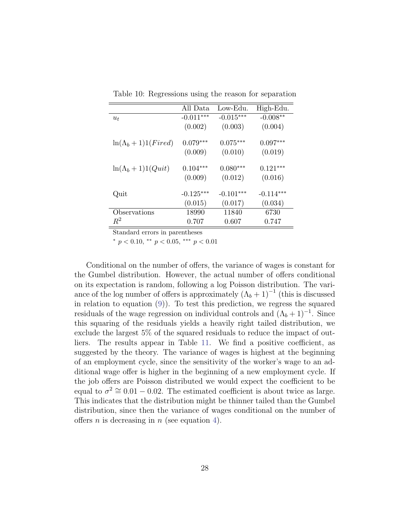|                             | All Data    | Low-Edu.    | High-Edu.   |
|-----------------------------|-------------|-------------|-------------|
| $u_t$                       | $-0.011***$ | $-0.015***$ | $-0.008**$  |
|                             | (0.002)     | (0.003)     | (0.004)     |
| $ln(\Lambda_b + 1)1(Fired)$ | $0.079***$  | $0.075***$  | $0.097***$  |
|                             | (0.009)     | (0.010)     | (0.019)     |
| $ln(\Lambda_b + 1)1(Quit)$  | $0.104***$  | $0.080***$  | $0.121***$  |
|                             | (0.009)     | (0.012)     | (0.016)     |
| Quit                        | $-0.125***$ | $-0.101***$ | $-0.114***$ |
|                             | (0.015)     | (0.017)     | (0.034)     |
| Observations                | 18990       | 11840       | 6730        |
| $R^2$                       | 0.707       | 0.607       | 0.747       |

<span id="page-28-0"></span>Table 10: Regressions using the reason for separation

 $*$  p < 0.10,  $*$  p < 0.05,  $**$  p < 0.01

Conditional on the number of offers, the variance of wages is constant for the Gumbel distribution. However, the actual number of offers conditional on its expectation is random, following a log Poisson distribution. The variance of the log number of offers is approximately  $(\Lambda_b + 1)^{-1}$  (this is discussed in relation to equation [\(9\)](#page-29-0)). To test this prediction, we regress the squared residuals of the wage regression on individual controls and  $(\Lambda_b + 1)^{-1}$ . Since this squaring of the residuals yields a heavily right tailed distribution, we exclude the largest 5% of the squared residuals to reduce the impact of outliers. The results appear in Table [11.](#page-29-1) We find a positive coefficient, as suggested by the theory. The variance of wages is highest at the beginning of an employment cycle, since the sensitivity of the worker's wage to an additional wage offer is higher in the beginning of a new employment cycle. If the job offers are Poisson distributed we would expect the coefficient to be equal to  $\sigma^2 \approx 0.01 - 0.02$ . The estimated coefficient is about twice as large. This indicates that the distribution might be thinner tailed than the Gumbel distribution, since then the variance of wages conditional on the number of offers *n* is decreasing in *n* (see equation [4\)](#page-12-0).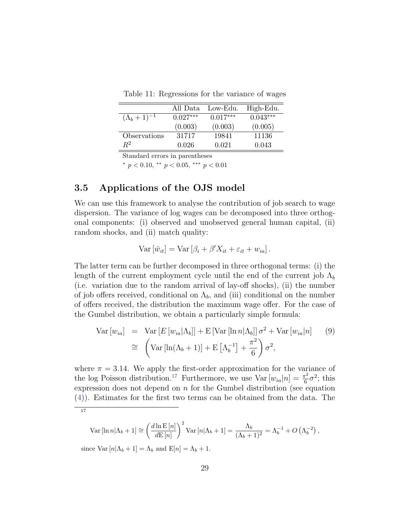<span id="page-29-1"></span>Table 11: Regressions for the variance of wages

|                        | All Data   | Low-Edu.   | High-Edu.  |
|------------------------|------------|------------|------------|
| $({\Lambda}_b+1)^{-1}$ | $0.027***$ | $0.017***$ | $0.043***$ |
|                        | (0.003)    | (0.003)    | (0.005)    |
| Observations           | 31717      | 19841      | 11136      |
| $R^2$                  | 0.026      | 0.021      | 0.043      |

 $*$  p < 0.10,  $*$  p < 0.05,  $**$  p < 0.01

### 3.5 Applications of the OJS model

We can use this framework to analyse the contribution of job search to wage dispersion. The variance of log wages can be decomposed into three orthogonal components: (i) observed and unobserved general human capital, (ii) random shocks, and (ii) match quality:

$$
Var\left[\bar{w}_{it}\right] = Var\left[\beta_i + \beta'X_{it} + \varepsilon_{it} + w_{ia}\right].
$$

The latter term can be further decomposed in three orthogonal terms: (i) the length of the current employment cycle until the end of the current job  $\Lambda_b$ (i.e. variation due to the random arrival of lay-off shocks), (ii) the number of job offers received, conditional on  $\Lambda_b$ , and (iii) conditional on the number of offers received, the distribution the maximum wage offer. For the case of the Gumbel distribution, we obtain a particularly simple formula:

<span id="page-29-0"></span>
$$
\text{Var}\left[w_{ia}\right] = \text{Var}\left[E\left[w_{ia}|\Lambda_b\right]\right] + \text{E}\left[\text{Var}\left[\ln n|\Lambda_b\right]\right]\sigma^2 + \text{Var}\left[w_{ia}|n\right] \quad (9)
$$
\n
$$
\cong \left(\text{Var}\left[\ln(\Lambda_b + 1)\right] + \text{E}\left[\Lambda_b^{-1}\right] + \frac{\pi^2}{6}\right)\sigma^2,
$$

where  $\pi = 3.14$ . We apply the first-order approximation for the variance of the log Poisson distribution.<sup>[17](#page-29-2)</sup> Furthermore, we use  $Var[w_{ia}|n] = \frac{\pi^2}{6}$  $\frac{\sigma^2}{6}\sigma^2$ ; this expression does not depend on  $n$  for the Gumbel distribution (see equation [\(4\)](#page-12-0)). Estimates for the first two terms can be obtained from the data. The

<span id="page-29-2"></span>
$$
-17\,
$$

$$
\text{Var}\left[\ln n|\Lambda_b+1\right] \cong \left(\frac{d\ln E\left[n\right]}{dE\left[n\right]}\right)^2 \text{Var}\left[n|\Lambda_b+1\right] = \frac{\Lambda_b}{(\Lambda_b+1)^2} = \Lambda_b^{-1} + O\left(\Lambda_b^{-2}\right),
$$
\n
$$
\text{since } \text{Var}\left[n|\Lambda_b+1\right] = \Lambda_b \text{ and } \text{E}[n] = \Lambda_b + 1.
$$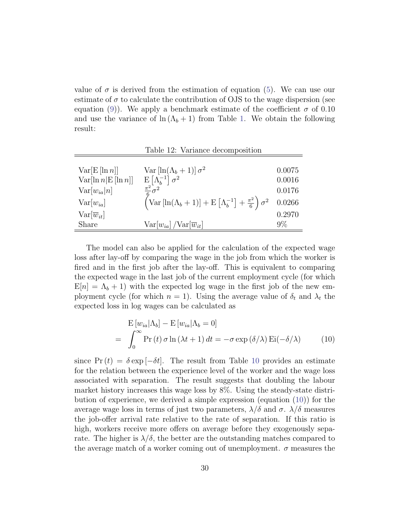value of  $\sigma$  is derived from the estimation of equation [\(5\)](#page-13-2). We can use our estimate of  $\sigma$  to calculate the contribution of OJS to the wage dispersion (see equation [\(9\)](#page-29-0)). We apply a benchmark estimate of the coefficient  $\sigma$  of 0.10 and use the variance of  $\ln(\Lambda_b + 1)$  from Table [1.](#page-18-0) We obtain the following result:

Table 12: Variance decomposition

| $Var[E[\ln n]]$          | Var $\left[\ln(\Lambda_b+1)\right]\sigma^2$                                                                        | 0.0075 |
|--------------------------|--------------------------------------------------------------------------------------------------------------------|--------|
| $Var[\ln nE[\ln n]]$     | $\mathrm{E}\left[ \Lambda _{b}^{-1}\right] \sigma ^{2}$                                                            | 0.0016 |
| $Var[w_{ia} n]$          | $\frac{\pi^2}{6}\sigma^2$                                                                                          | 0.0176 |
| $Var[w_{ia}]$            | $\left(\text{Var}\left[\ln(\Lambda_b+1)\right]+\text{E}\left[\Lambda_b^{-1}\right]+\frac{\pi^2}{6}\right)\sigma^2$ | 0.0266 |
| $Var[\overline{w}_{it}]$ |                                                                                                                    | 0.2970 |
| Share                    | $Var[w_{ia}]/Var[\overline{w}_{it}]$                                                                               | $9\%$  |

The model can also be applied for the calculation of the expected wage loss after lay-off by comparing the wage in the job from which the worker is fired and in the first job after the lay-off. This is equivalent to comparing the expected wage in the last job of the current employment cycle (for which  $E[n] = \Lambda_b + 1$ ) with the expected log wage in the first job of the new employment cycle (for which  $n = 1$ ). Using the average value of  $\delta_t$  and  $\lambda_t$  the expected loss in log wages can be calculated as

<span id="page-30-0"></span>
$$
\mathbf{E}\left[w_{ia}|\Lambda_b\right] - \mathbf{E}\left[w_{ia}|\Lambda_b = 0\right]
$$
\n
$$
= \int_0^\infty \Pr\left(t\right)\sigma\ln\left(\lambda t + 1\right)dt = -\sigma\exp\left(\delta/\lambda\right)\mathrm{Ei}(-\delta/\lambda) \tag{10}
$$

since  $Pr(t) = \delta exp[-\delta t]$ . The result from Table [10](#page-28-0) provides an estimate for the relation between the experience level of the worker and the wage loss associated with separation. The result suggests that doubling the labour market history increases this wage loss by 8%. Using the steady-state distribution of experience, we derived a simple expression (equation [\(10\)](#page-30-0)) for the average wage loss in terms of just two parameters,  $\lambda/\delta$  and  $\sigma$ .  $\lambda/\delta$  measures the job-offer arrival rate relative to the rate of separation. If this ratio is high, workers receive more offers on average before they exogenously separate. The higher is  $\lambda/\delta$ , the better are the outstanding matches compared to the average match of a worker coming out of unemployment.  $\sigma$  measures the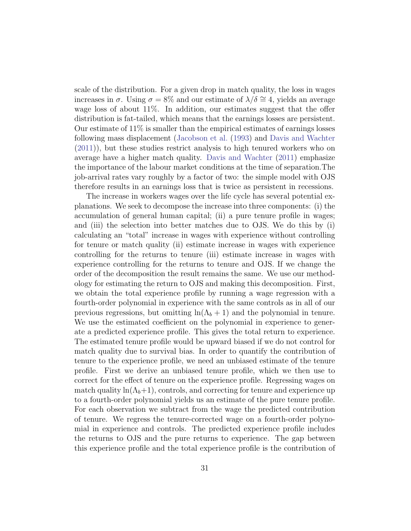scale of the distribution. For a given drop in match quality, the loss in wages increases in  $\sigma$ . Using  $\sigma = 8\%$  and our estimate of  $\lambda/\delta \approx 4$ , yields an average wage loss of about 11%. In addition, our estimates suggest that the offer distribution is fat-tailed, which means that the earnings losses are persistent. Our estimate of 11% is smaller than the empirical estimates of earnings losses following mass displacement [\(Jacobson et al.](#page-37-0) [\(1993\)](#page-37-0) and [Davis and Wachter](#page-36-2) [\(2011\)](#page-36-2)), but these studies restrict analysis to high tenured workers who on average have a higher match quality. [Davis and Wachter](#page-36-2) [\(2011\)](#page-36-2) emphasize the importance of the labour market conditions at the time of separation.The job-arrival rates vary roughly by a factor of two: the simple model with OJS therefore results in an earnings loss that is twice as persistent in recessions.

The increase in workers wages over the life cycle has several potential explanations. We seek to decompose the increase into three components: (i) the accumulation of general human capital; (ii) a pure tenure profile in wages; and (iii) the selection into better matches due to OJS. We do this by (i) calculating an "total" increase in wages with experience without controlling for tenure or match quality (ii) estimate increase in wages with experience controlling for the returns to tenure (iii) estimate increase in wages with experience controlling for the returns to tenure and OJS. If we change the order of the decomposition the result remains the same. We use our methodology for estimating the return to OJS and making this decomposition. First, we obtain the total experience profile by running a wage regression with a fourth-order polynomial in experience with the same controls as in all of our previous regressions, but omitting  $\ln(\Lambda_b + 1)$  and the polynomial in tenure. We use the estimated coefficient on the polynomial in experience to generate a predicted experience profile. This gives the total return to experience. The estimated tenure profile would be upward biased if we do not control for match quality due to survival bias. In order to quantify the contribution of tenure to the experience profile, we need an unbiased estimate of the tenure profile. First we derive an unbiased tenure profile, which we then use to correct for the effect of tenure on the experience profile. Regressing wages on match quality  $ln(\Lambda_b+1)$ , controls, and correcting for tenure and experience up to a fourth-order polynomial yields us an estimate of the pure tenure profile. For each observation we subtract from the wage the predicted contribution of tenure. We regress the tenure-corrected wage on a fourth-order polynomial in experience and controls. The predicted experience profile includes the returns to OJS and the pure returns to experience. The gap between this experience profile and the total experience profile is the contribution of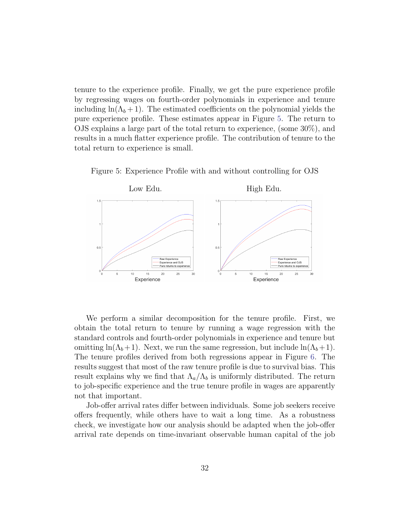tenure to the experience profile. Finally, we get the pure experience profile by regressing wages on fourth-order polynomials in experience and tenure including  $\ln(\Lambda_b + 1)$ . The estimated coefficients on the polynomial yields the pure experience profile. These estimates appear in Figure [5.](#page-32-0) The return to OJS explains a large part of the total return to experience, (some 30%), and results in a much flatter experience profile. The contribution of tenure to the total return to experience is small.



<span id="page-32-0"></span>Figure 5: Experience Profile with and without controlling for OJS

We perform a similar decomposition for the tenure profile. First, we obtain the total return to tenure by running a wage regression with the standard controls and fourth-order polynomials in experience and tenure but omitting ln( $\Lambda_b+1$ ). Next, we run the same regression, but include ln( $\Lambda_b+1$ ). The tenure profiles derived from both regressions appear in Figure [6.](#page-33-0) The results suggest that most of the raw tenure profile is due to survival bias. This result explains why we find that  $\Lambda_a/\Lambda_b$  is uniformly distributed. The return to job-specific experience and the true tenure profile in wages are apparently not that important.

Job-offer arrival rates differ between individuals. Some job seekers receive offers frequently, while others have to wait a long time. As a robustness check, we investigate how our analysis should be adapted when the job-offer arrival rate depends on time-invariant observable human capital of the job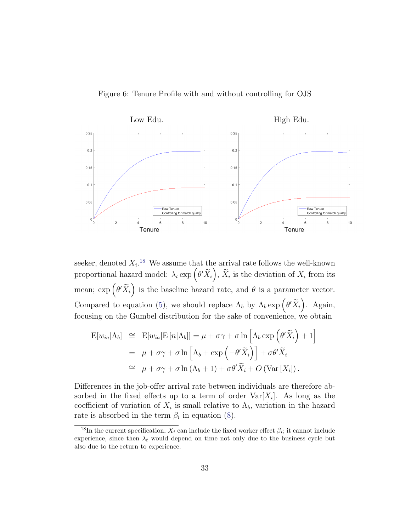<span id="page-33-0"></span>Figure 6: Tenure Profile with and without controlling for OJS



seeker, denoted  $X_i$ <sup>[18](#page-33-1)</sup> We assume that the arrival rate follows the well-known proportional hazard model:  $\lambda_t \exp\left(\theta' \widetilde{X}_i\right)$ ,  $\widetilde{X}_i$  is the deviation of  $X_i$  from its mean;  $\exp\left(\theta' \widetilde{X}_i\right)$  is the baseline hazard rate, and  $\theta$  is a parameter vector. Compared to equation [\(5\)](#page-13-2), we should replace  $\Lambda_b$  by  $\Lambda_b$  exp  $(\theta' \widetilde{X}_i)$ . Again, focusing on the Gumbel distribution for the sake of convenience, we obtain

$$
\begin{aligned} \mathcal{E}[w_{ia}|\Lambda_b] &\cong \mathcal{E}[w_{ia}|\mathcal{E}[n|\Lambda_b]] = \mu + \sigma\gamma + \sigma \ln\left[\Lambda_b \exp\left(\theta' \widetilde{X}_i\right) + 1\right] \\ &= \mu + \sigma\gamma + \sigma \ln\left[\Lambda_b + \exp\left(-\theta' \widetilde{X}_i\right)\right] + \sigma\theta' \widetilde{X}_i \\ &\cong \mu + \sigma\gamma + \sigma \ln\left(\Lambda_b + 1\right) + \sigma\theta' \widetilde{X}_i + O\left(\text{Var}\left[X_i\right]\right). \end{aligned}
$$

Differences in the job-offer arrival rate between individuals are therefore absorbed in the fixed effects up to a term of order  $\text{Var}[X_i]$ . As long as the coefficient of variation of  $X_i$  is small relative to  $\Lambda_b$ , variation in the hazard rate is absorbed in the term  $\beta_i$  in equation [\(8\)](#page-20-0).

<span id="page-33-1"></span><sup>&</sup>lt;sup>18</sup>In the current specification,  $X_i$  can include the fixed worker effect  $\beta_i$ ; it cannot include experience, since then  $\lambda_t$  would depend on time not only due to the business cycle but also due to the return to experience.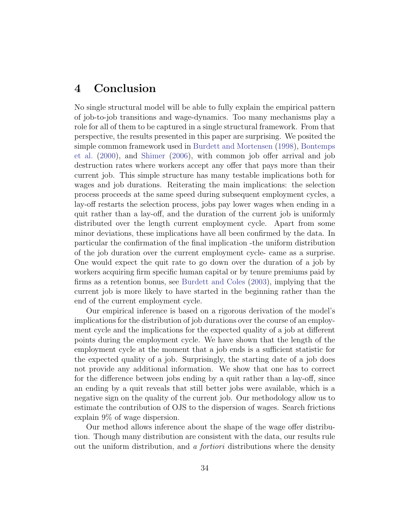## <span id="page-34-0"></span>4 Conclusion

No single structural model will be able to fully explain the empirical pattern of job-to-job transitions and wage-dynamics. Too many mechanisms play a role for all of them to be captured in a single structural framework. From that perspective, the results presented in this paper are surprising. We posited the simple common framework used in [Burdett and Mortensen](#page-36-0) [\(1998\)](#page-36-0), [Bontemps](#page-36-1) [et al.](#page-36-1) [\(2000\)](#page-36-1), and [Shimer](#page-38-5) [\(2006\)](#page-38-5), with common job offer arrival and job destruction rates where workers accept any offer that pays more than their current job. This simple structure has many testable implications both for wages and job durations. Reiterating the main implications: the selection process proceeds at the same speed during subsequent employment cycles, a lay-off restarts the selection process, jobs pay lower wages when ending in a quit rather than a lay-off, and the duration of the current job is uniformly distributed over the length current employment cycle. Apart from some minor deviations, these implications have all been confirmed by the data. In particular the confirmation of the final implication -the uniform distribution of the job duration over the current employment cycle- came as a surprise. One would expect the quit rate to go down over the duration of a job by workers acquiring firm specific human capital or by tenure premiums paid by firms as a retention bonus, see [Burdett and Coles](#page-36-4) [\(2003\)](#page-36-4), implying that the current job is more likely to have started in the beginning rather than the end of the current employment cycle.

Our empirical inference is based on a rigorous derivation of the model's implications for the distribution of job durations over the course of an employment cycle and the implications for the expected quality of a job at different points during the employment cycle. We have shown that the length of the employment cycle at the moment that a job ends is a sufficient statistic for the expected quality of a job. Surprisingly, the starting date of a job does not provide any additional information. We show that one has to correct for the difference between jobs ending by a quit rather than a lay-off, since an ending by a quit reveals that still better jobs were available, which is a negative sign on the quality of the current job. Our methodology allow us to estimate the contribution of OJS to the dispersion of wages. Search frictions explain 9% of wage dispersion.

Our method allows inference about the shape of the wage offer distribution. Though many distribution are consistent with the data, our results rule out the uniform distribution, and a fortiori distributions where the density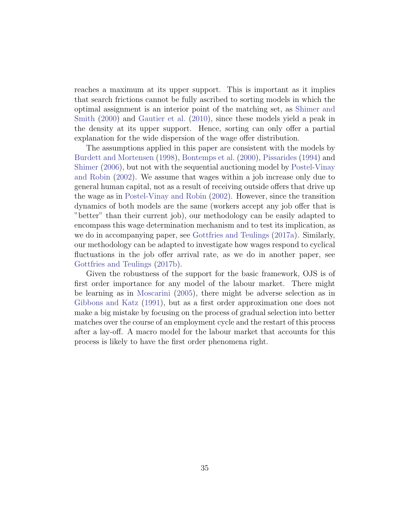reaches a maximum at its upper support. This is important as it implies that search frictions cannot be fully ascribed to sorting models in which the optimal assignment is an interior point of the matching set, as [Shimer and](#page-38-4) [Smith](#page-38-4) [\(2000\)](#page-38-4) and [Gautier et al.](#page-37-5) [\(2010\)](#page-37-5), since these models yield a peak in the density at its upper support. Hence, sorting can only offer a partial explanation for the wide dispersion of the wage offer distribution.

The assumptions applied in this paper are consistent with the models by [Burdett and Mortensen](#page-36-0) [\(1998\)](#page-36-0), [Bontemps et al.](#page-36-1) [\(2000\)](#page-36-1), [Pissarides](#page-37-6) [\(1994\)](#page-37-6) and [Shimer](#page-38-5) [\(2006\)](#page-38-5), but not with the sequential auctioning model by [Postel-Vinay](#page-38-1) [and Robin](#page-38-1) [\(2002\)](#page-38-1). We assume that wages within a job increase only due to general human capital, not as a result of receiving outside offers that drive up the wage as in [Postel-Vinay and Robin](#page-38-1) [\(2002\)](#page-38-1). However, since the transition dynamics of both models are the same (workers accept any job offer that is "better" than their current job), our methodology can be easily adapted to encompass this wage determination mechanism and to test its implication, as we do in accompanying paper, see [Gottfries and Teulings](#page-37-7) [\(2017a\)](#page-37-7). Similarly, our methodology can be adapted to investigate how wages respond to cyclical fluctuations in the job offer arrival rate, as we do in another paper, see [Gottfries and Teulings](#page-37-8) [\(2017b\)](#page-37-8).

Given the robustness of the support for the basic framework, OJS is of first order importance for any model of the labour market. There might be learning as in [Moscarini](#page-37-11) [\(2005\)](#page-37-11), there might be adverse selection as in [Gibbons and Katz](#page-37-12) [\(1991\)](#page-37-12), but as a first order approximation one does not make a big mistake by focusing on the process of gradual selection into better matches over the course of an employment cycle and the restart of this process after a lay-off. A macro model for the labour market that accounts for this process is likely to have the first order phenomena right.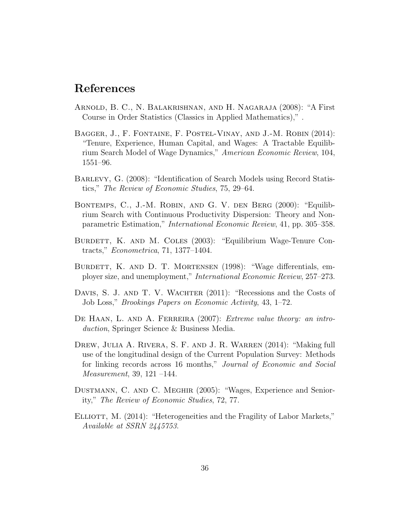## References

- <span id="page-36-10"></span>Arnold, B. C., N. Balakrishnan, and H. Nagaraja (2008): "A First Course in Order Statistics (Classics in Applied Mathematics)," .
- <span id="page-36-5"></span>Bagger, J., F. Fontaine, F. Postel-Vinay, and J.-M. Robin (2014): "Tenure, Experience, Human Capital, and Wages: A Tractable Equilibrium Search Model of Wage Dynamics," American Economic Review, 104, 1551–96.
- <span id="page-36-3"></span>Barlevy, G. (2008): "Identification of Search Models using Record Statistics," The Review of Economic Studies, 75, 29–64.
- <span id="page-36-1"></span>Bontemps, C., J.-M. Robin, and G. V. den Berg (2000): "Equilibrium Search with Continuous Productivity Dispersion: Theory and Nonparametric Estimation," International Economic Review, 41, pp. 305–358.
- <span id="page-36-4"></span>BURDETT, K. AND M. COLES (2003): "Equilibrium Wage-Tenure Contracts," Econometrica, 71, 1377–1404.
- <span id="page-36-0"></span>BURDETT, K. AND D. T. MORTENSEN (1998): "Wage differentials, employer size, and unemployment," International Economic Review, 257–273.
- <span id="page-36-2"></span>DAVIS, S. J. AND T. V. WACHTER (2011): "Recessions and the Costs of Job Loss," Brookings Papers on Economic Activity, 43, 1–72.
- <span id="page-36-7"></span>DE HAAN, L. AND A. FERREIRA (2007): *Extreme value theory: an intro*duction, Springer Science & Business Media.
- <span id="page-36-8"></span>Drew, Julia A. Rivera, S. F. and J. R. Warren (2014): "Making full use of the longitudinal design of the Current Population Survey: Methods for linking records across 16 months," Journal of Economic and Social Measurement, 39, 121 –144.
- <span id="page-36-6"></span>Dustmann, C. and C. Meghir (2005): "Wages, Experience and Seniority," The Review of Economic Studies, 72, 77.
- <span id="page-36-9"></span>ELLIOTT, M. (2014): "Heterogeneities and the Fragility of Labor Markets," Available at SSRN 2445753.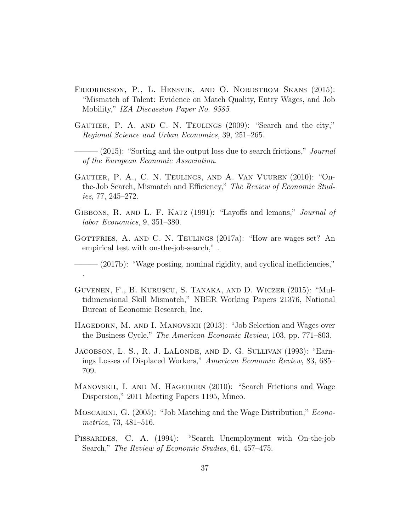- <span id="page-37-3"></span>Fredriksson, P., L. Hensvik, and O. Nordstrom Skans (2015): "Mismatch of Talent: Evidence on Match Quality, Entry Wages, and Job Mobility," IZA Discussion Paper No. 9585.
- <span id="page-37-10"></span>Gautier, P. A. and C. N. Teulings (2009): "Search and the city," Regional Science and Urban Economics, 39, 251–265.
- <span id="page-37-9"></span> $(2015)$ : "Sorting and the output loss due to search frictions," *Journal* of the European Economic Association.
- <span id="page-37-5"></span>Gautier, P. A., C. N. Teulings, and A. Van Vuuren (2010): "Onthe-Job Search, Mismatch and Efficiency," The Review of Economic Studies, 77, 245–272.
- <span id="page-37-12"></span>GIBBONS, R. AND L. F. KATZ (1991): "Layoffs and lemons," *Journal of* labor Economics, 9, 351–380.
- <span id="page-37-8"></span><span id="page-37-7"></span>GOTTFRIES, A. AND C. N. TEULINGS (2017a): "How are wages set? An empirical test with on-the-job-search," .

 $-(2017b)$ : "Wage posting, nominal rigidity, and cyclical inefficiencies,"

<span id="page-37-4"></span>Guvenen, F., B. Kuruscu, S. Tanaka, and D. Wiczer (2015): "Multidimensional Skill Mismatch," NBER Working Papers 21376, National Bureau of Economic Research, Inc.

.

- <span id="page-37-1"></span>HAGEDORN, M. AND I. MANOVSKII (2013): "Job Selection and Wages over the Business Cycle," The American Economic Review, 103, pp. 771–803.
- <span id="page-37-0"></span>JACOBSON, L. S., R. J. LALONDE, AND D. G. SULLIVAN (1993): "Earnings Losses of Displaced Workers," American Economic Review, 83, 685– 709.
- <span id="page-37-2"></span>MANOVSKII, I. AND M. HAGEDORN (2010): "Search Frictions and Wage Dispersion," 2011 Meeting Papers 1195, Mineo.
- <span id="page-37-11"></span>MOSCARINI, G. (2005): "Job Matching and the Wage Distribution," *Econo*metrica, 73, 481–516.
- <span id="page-37-6"></span>PISSARIDES, C. A. (1994): "Search Unemployment with On-the-job Search," The Review of Economic Studies, 61, 457–475.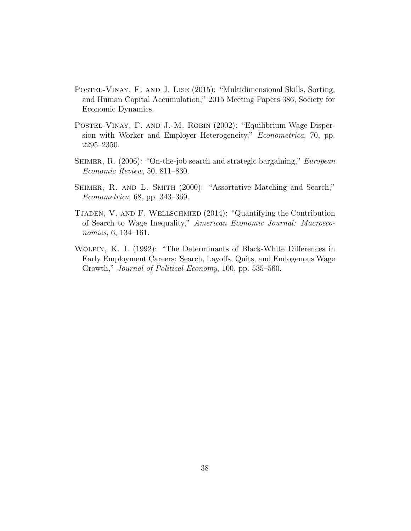- <span id="page-38-3"></span>Postel-Vinay, F. and J. Lise (2015): "Multidimensional Skills, Sorting, and Human Capital Accumulation," 2015 Meeting Papers 386, Society for Economic Dynamics.
- <span id="page-38-1"></span>POSTEL-VINAY, F. AND J.-M. ROBIN (2002): "Equilibrium Wage Dispersion with Worker and Employer Heterogeneity," *Econometrica*, 70, pp. 2295–2350.
- <span id="page-38-5"></span>SHIMER, R. (2006): "On-the-job search and strategic bargaining," *European* Economic Review, 50, 811–830.
- <span id="page-38-4"></span>SHIMER, R. AND L. SMITH (2000): "Assortative Matching and Search," Econometrica, 68, pp. 343–369.
- <span id="page-38-2"></span>Tjaden, V. and F. Wellschmied (2014): "Quantifying the Contribution of Search to Wage Inequality," American Economic Journal: Macroeconomics, 6, 134–161.
- <span id="page-38-0"></span>Wolpin, K. I. (1992): "The Determinants of Black-White Differences in Early Employment Careers: Search, Layoffs, Quits, and Endogenous Wage Growth," Journal of Political Economy, 100, pp. 535–560.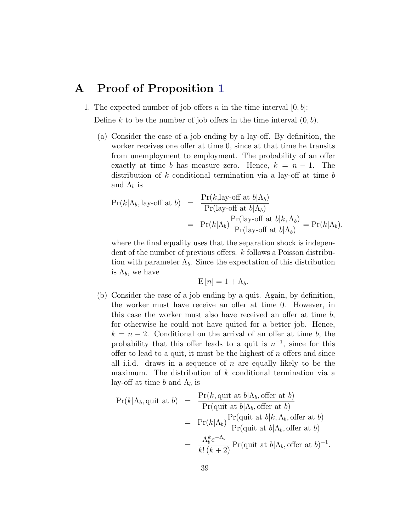## <span id="page-39-0"></span>A Proof of Proposition [1](#page-7-2)

1. The expected number of job offers n in the time interval  $[0, b]$ :

Define k to be the number of job offers in the time interval  $(0, b)$ .

(a) Consider the case of a job ending by a lay-off. By definition, the worker receives one offer at time 0, since at that time he transits from unemployment to employment. The probability of an offer exactly at time b has measure zero. Hence,  $k = n - 1$ . The distribution of  $k$  conditional termination via a lay-off at time  $b$ and  $\Lambda_b$  is

$$
Pr(k|\Lambda_b, \text{lay-off at } b) = \frac{Pr(k, \text{lay-off at } b|\Lambda_b)}{Pr(\text{lay-off at } b|\Lambda_b)}
$$
  
= 
$$
Pr(k|\Lambda_b) \frac{Pr(\text{lay-off at } b|k, \Lambda_b)}{Pr(\text{lay-off at } b|\Lambda_b)} = Pr(k|\Lambda_b).
$$

where the final equality uses that the separation shock is independent of the number of previous offers. k follows a Poisson distribution with parameter  $\Lambda_b$ . Since the expectation of this distribution is  $\Lambda_b$ , we have

$$
E[n] = 1 + \Lambda_b.
$$

(b) Consider the case of a job ending by a quit. Again, by definition, the worker must have receive an offer at time 0. However, in this case the worker must also have received an offer at time b, for otherwise he could not have quited for a better job. Hence,  $k = n - 2$ . Conditional on the arrival of an offer at time b, the probability that this offer leads to a quit is  $n^{-1}$ , since for this offer to lead to a quit, it must be the highest of  $n$  offers and since all i.i.d. draws in a sequence of  $n$  are equally likely to be the maximum. The distribution of k conditional termination via a lay-off at time b and  $\Lambda_b$  is

$$
\begin{aligned} \Pr(k|\Lambda_b, \text{quit at } b) &= \frac{\Pr(k, \text{quit at } b|\Lambda_b, \text{offer at } b)}{\Pr(\text{quit at } b|\Lambda_b, \text{offer at } b)} \\ &= \Pr(k|\Lambda_b) \frac{\Pr(\text{quit at } b|k, \Lambda_b, \text{offer at } b)}{\Pr(\text{quit at } b|\Lambda_b, \text{offer at } b)} \\ &= \frac{\Lambda_b^k e^{-\Lambda_b}}{k!(k+2)} \Pr(\text{quit at } b|\Lambda_b, \text{offer at } b)^{-1} .\end{aligned}
$$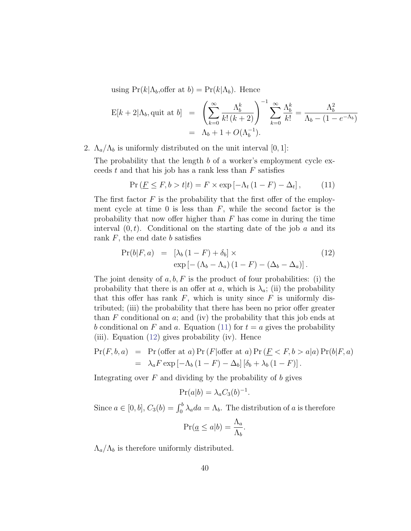using  $Pr(k|\Lambda_b, \text{offer at } b) = Pr(k|\Lambda_b)$ . Hence

$$
E[k+2|\Lambda_b, \text{quit at } b] = \left(\sum_{k=0}^{\infty} \frac{\Lambda_b^k}{k! (k+2)}\right)^{-1} \sum_{k=0}^{\infty} \frac{\Lambda_b^k}{k!} = \frac{\Lambda_b^2}{\Lambda_b - (1 - e^{-\Lambda_b})}
$$
  
=  $\Lambda_b + 1 + O(\Lambda_b^{-1}).$ 

2.  $\Lambda_a/\Lambda_b$  is uniformly distributed on the unit interval [0, 1]:

The probability that the length b of a worker's employment cycle exceeds t and that his job has a rank less than  $F$  satisfies

<span id="page-40-0"></span>
$$
\Pr\left(\underline{F}\leq F,b>t|t\right)=F\times\exp\left[-\Lambda_t\left(1-F\right)-\Delta_t\right],\tag{11}
$$

The first factor  $F$  is the probability that the first offer of the employment cycle at time 0 is less than  $F$ , while the second factor is the probability that now offer higher than  $F$  has come in during the time interval  $(0, t)$ . Conditional on the starting date of the job a and its rank  $F$ , the end date  $b$  satisfies

<span id="page-40-1"></span>
$$
Pr(b|F, a) = [\lambda_b (1 - F) + \delta_b] \times
$$
  
\n
$$
exp[-(\Lambda_b - \Lambda_a) (1 - F) - (\Delta_b - \Delta_a)].
$$
\n(12)

The joint density of  $a, b, F$  is the product of four probabilities: (i) the probability that there is an offer at a, which is  $\lambda_a$ ; (ii) the probability that this offer has rank  $F$ , which is unity since  $F$  is uniformly distributed; (iii) the probability that there has been no prior offer greater than  $F$  conditional on  $\alpha$ ; and (iv) the probability that this job ends at b conditional on F and a. Equation [\(11\)](#page-40-0) for  $t = a$  gives the probability (iii). Equation [\(12\)](#page-40-1) gives probability (iv). Hence

$$
Pr(F, b, a) = Pr(offer at a) Pr(F|offer at a) Pr(\underline{F} < F, b > a|a) Pr(b|F, a)
$$
\n
$$
= \lambda_a F \exp\left[-\Lambda_b (1 - F) - \Delta_b\right] \left[\delta_b + \lambda_b (1 - F)\right].
$$

Integrating over  $F$  and dividing by the probability of  $b$  gives

$$
Pr(a|b) = \lambda_a C_3(b)^{-1}.
$$

Since  $a \in [0, b]$ ,  $C_3(b) = \int_0^b \lambda_a da = \Lambda_b$ . The distribution of a is therefore

$$
\Pr(\underline{a} \le a | b) = \frac{\Lambda_a}{\Lambda_b}.
$$

 $\Lambda_a/\Lambda_b$  is therefore uniformly distributed.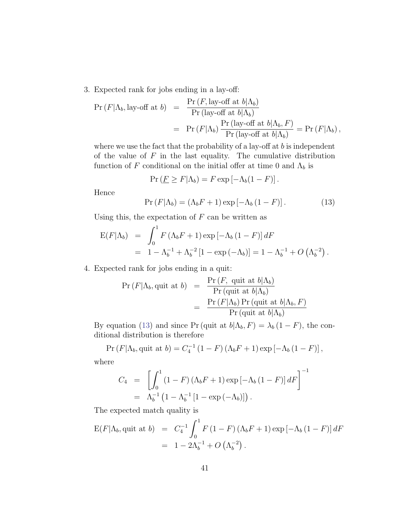3. Expected rank for jobs ending in a lay-off:

$$
\begin{array}{rcl}\n\Pr\left(F|\Lambda_b, \text{lay-off at }b\right) & = & \frac{\Pr\left(F, \text{lay-off at }b|\Lambda_b\right)}{\Pr\left(\text{lay-off at }b|\Lambda_b\right)} \\
& = & \Pr\left(F|\Lambda_b\right) \frac{\Pr\left(\text{lay-off at }b|\Lambda_b, F\right)}{\Pr\left(\text{lay-off at }b|\Lambda_b\right)} = \Pr\left(F|\Lambda_b\right),\n\end{array}
$$

where we use the fact that the probability of a lay-off at  $b$  is independent of the value of  $F$  in the last equality. The cumulative distribution function of F conditional on the initial offer at time 0 and  $\Lambda_b$  is

$$
\Pr\left(\underline{F} \geq F | \Lambda_b\right) = F \exp\left[-\Lambda_b (1 - F)\right].
$$

Hence

<span id="page-41-0"></span>
$$
Pr(F|\Lambda_b) = (\Lambda_b F + 1) \exp[-\Lambda_b (1 - F)].
$$
 (13)

Using this, the expectation of  $F$  can be written as

$$
E(F|\Lambda_b) = \int_0^1 F(\Lambda_b F + 1) \exp[-\Lambda_b (1 - F)] dF
$$
  
=  $1 - \Lambda_b^{-1} + \Lambda_b^{-2} [1 - \exp(-\Lambda_b)] = 1 - \Lambda_b^{-1} + O(\Lambda_b^{-2}).$ 

4. Expected rank for jobs ending in a quit:

$$
\Pr(F|\Lambda_b, \text{quit at } b) = \frac{\Pr(F, \text{ quit at } b|\Lambda_b)}{\Pr(\text{quit at } b|\Lambda_b)} \\
= \frac{\Pr(F|\Lambda_b) \Pr(\text{quit at } b|\Lambda_b, F)}{\Pr(\text{quit at } b|\Lambda_b)}
$$

By equation [\(13\)](#page-41-0) and since Pr (quit at  $b|\Lambda_b, F) = \lambda_b (1 - F)$ , the conditional distribution is therefore

$$
Pr(F|\Lambda_b, \text{quit at } b) = C_4^{-1} (1 - F)(\Lambda_b F + 1) \exp[-\Lambda_b (1 - F)],
$$

where

$$
C_4 = \left[ \int_0^1 (1 - F) (\Lambda_b F + 1) \exp[-\Lambda_b (1 - F)] dF \right]^{-1}
$$
  
=  $\Lambda_b^{-1} (1 - \Lambda_b^{-1} [1 - \exp(-\Lambda_b)] ).$ 

The expected match quality is

$$
E(F|\Lambda_b, \text{quit at } b) = C_4^{-1} \int_0^1 F(1 - F)(\Lambda_b F + 1) \exp[-\Lambda_b (1 - F)] dF
$$
  
=  $1 - 2\Lambda_b^{-1} + O(\Lambda_b^{-2}).$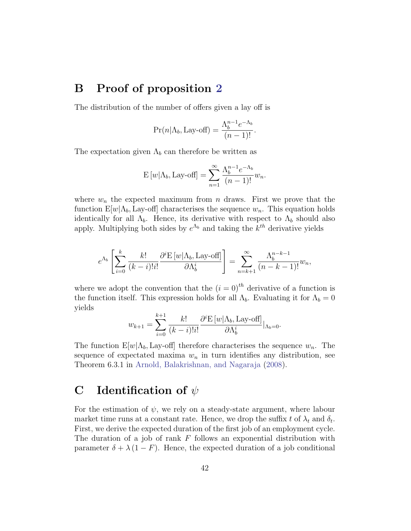## <span id="page-42-0"></span>B Proof of proposition [2](#page-11-0)

The distribution of the number of offers given a lay off is

$$
Pr(n|\Lambda_b, \text{Lay-off}) = \frac{\Lambda_b^{n-1} e^{-\Lambda_b}}{(n-1)!}.
$$

The expectation given  $\Lambda_b$  can therefore be written as

$$
E[w|\Lambda_b, \text{Lay-off}] = \sum_{n=1}^{\infty} \frac{\Lambda_b^{n-1} e^{-\Lambda_b}}{(n-1)!} w_n.
$$

where  $w_n$  the expected maximum from n draws. First we prove that the function  $E[w|\Lambda_b]$ , Lay-off] characterises the sequence  $w_n$ . This equation holds identically for all  $\Lambda_b$ . Hence, its derivative with respect to  $\Lambda_b$  should also apply. Multiplying both sides by  $e^{\Lambda_b}$  and taking the  $k^{th}$  derivative yields

$$
e^{\Lambda_b} \left[ \sum_{i=0}^k \frac{k!}{(k-i)!i!} \frac{\partial^i \mathcal{E} \left[ w | \Lambda_b, \text{Lay-off} \right]}{\partial \Lambda_b^i} \right] = \sum_{n=k+1}^\infty \frac{\Lambda_b^{n-k-1}}{(n-k-1)!} w_n,
$$

where we adopt the convention that the  $(i = 0)$ <sup>th</sup> derivative of a function is the function itself. This expression holds for all  $\Lambda_b$ . Evaluating it for  $\Lambda_b = 0$ yields

$$
w_{k+1} = \sum_{i=0}^{k+1} \frac{k!}{(k-i)!i!} \frac{\partial^i \mathcal{E}[w|\Lambda_b, \text{Lay-off}]}{\partial \Lambda_b^i} |_{\Lambda_b=0}.
$$

The function  $E[w|\Lambda_b]$ , Lay-off] therefore characterises the sequence  $w_n$ . The sequence of expectated maxima  $w_n$  in turn identifies any distribution, see Theorem 6.3.1 in [Arnold, Balakrishnan, and Nagaraja](#page-36-10) [\(2008\)](#page-36-10).

## <span id="page-42-1"></span>C Identification of  $\psi$

For the estimation of  $\psi$ , we rely on a steady-state argument, where labour market time runs at a constant rate. Hence, we drop the suffix t of  $\lambda_t$  and  $\delta_t$ . First, we derive the expected duration of the first job of an employment cycle. The duration of a job of rank  $F$  follows an exponential distribution with parameter  $\delta + \lambda (1 - F)$ . Hence, the expected duration of a job conditional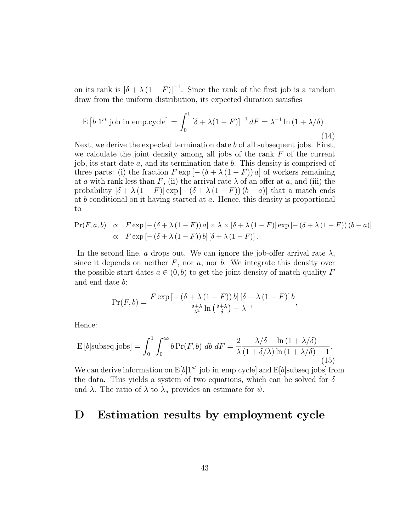on its rank is  $[\delta + \lambda (1 - F)]^{-1}$ . Since the rank of the first job is a random draw from the uniform distribution, its expected duration satisfies

$$
\mathcal{E}\left[b|1^{st}\text{ job in emp.cycle}\right] = \int_0^1 \left[\delta + \lambda(1 - F)\right]^{-1} dF = \lambda^{-1}\ln\left(1 + \lambda/\delta\right). \tag{14}
$$

Next, we derive the expected termination date  $b$  of all subsequent jobs. First, we calculate the joint density among all jobs of the rank  $F$  of the current job, its start date a, and its termination date b. This density is comprised of three parts: (i) the fraction  $F \exp[-(\delta + \lambda(1 - F))a]$  of workers remaining at a with rank less than F, (ii) the arrival rate  $\lambda$  of an offer at a, and (iii) the probability  $[\delta + \lambda (1 - F)] \exp[-(\delta + \lambda (1 - F)) (b - a)]$  that a match ends at  $b$  conditional on it having started at  $a$ . Hence, this density is proportional to

$$
\Pr(F, a, b) \propto F \exp\left[-\left(\delta + \lambda\left(1 - F\right)\right)a\right] \times \lambda \times \left[\delta + \lambda\left(1 - F\right)\right] \exp\left[-\left(\delta + \lambda\left(1 - F\right)\right)\left(b - a\right)\right] \times F \exp\left[-\left(\delta + \lambda\left(1 - F\right)\right)b\right]\left[\delta + \lambda\left(1 - F\right)\right].
$$

In the second line, a drops out. We can ignore the job-offer arrival rate  $\lambda$ , since it depends on neither  $F$ , nor  $a$ , nor  $b$ . We integrate this density over the possible start dates  $a \in (0, b)$  to get the joint density of match quality F and end date b:

$$
\Pr(F, b) = \frac{F \exp\left[-\left(\delta + \lambda\left(1 - F\right)\right) b\right] \left[\delta + \lambda\left(1 - F\right)\right] b}{\frac{\delta + \lambda}{\lambda^2} \ln\left(\frac{\delta + \lambda}{\delta}\right) - \lambda^{-1}},
$$

Hence:

$$
E\left[b|\text{subseq.jobs}\right] = \int_0^1 \int_0^\infty b \Pr(F, b) \, db \, dF = \frac{2}{\lambda} \frac{\lambda/\delta - \ln\left(1 + \lambda/\delta\right)}{\left(1 + \delta/\lambda\right)\ln\left(1 + \lambda/\delta\right) - 1}.
$$
\n(15)

We can derive information on  $E[b]1^{st}$  job in emp.cycle and  $E[b]$ subseq.jobs from the data. This yields a system of two equations, which can be solved for  $\delta$ and  $\lambda$ . The ratio of  $\lambda$  to  $\lambda_u$  provides an estimate for  $\psi$ .

## <span id="page-43-0"></span>D Estimation results by employment cycle